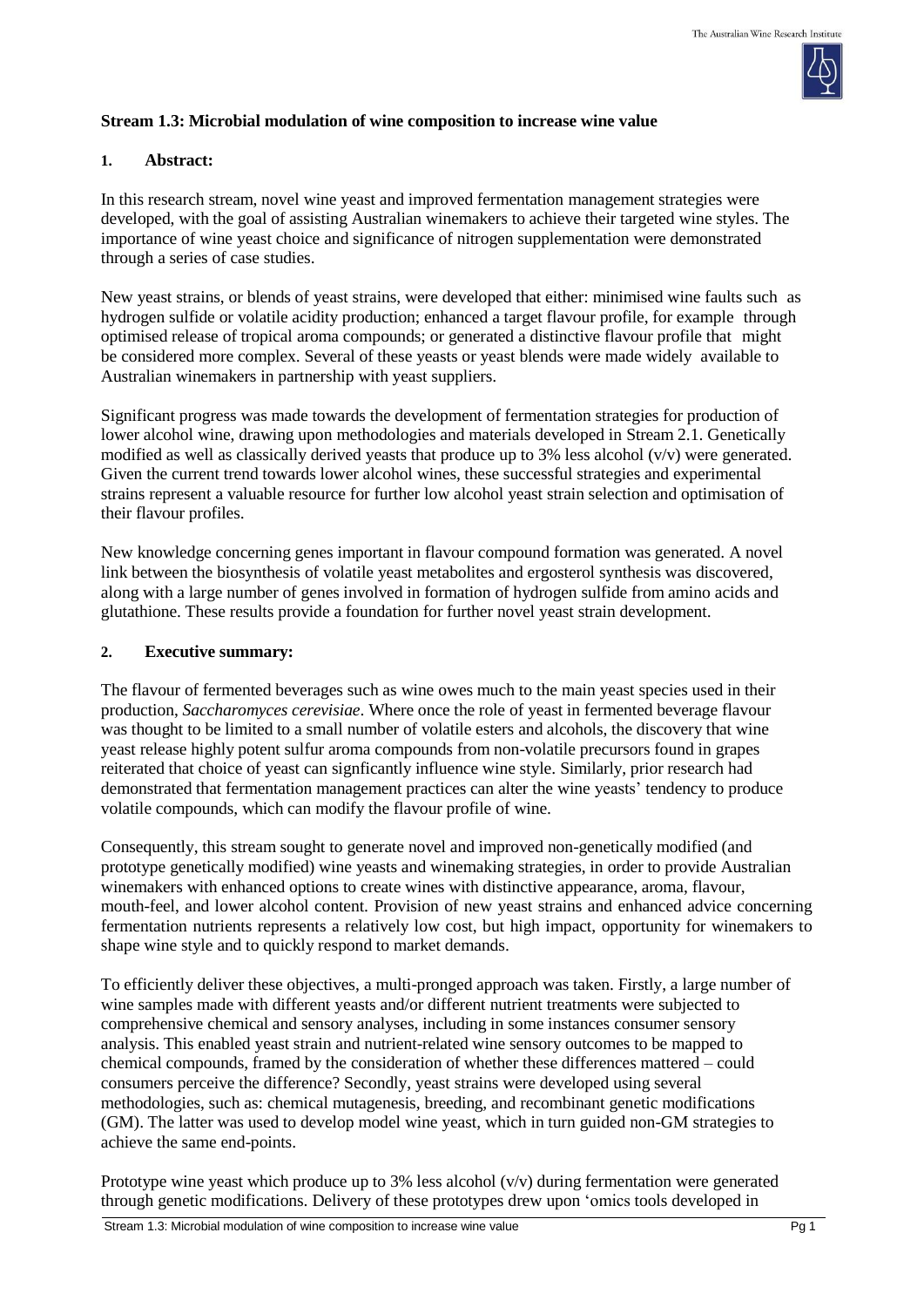

# **Stream 1.3: Microbial modulation of wine composition to increase wine value**

## **1. Abstract:**

In this research stream, novel wine yeast and improved fermentation management strategies were developed, with the goal of assisting Australian winemakers to achieve their targeted wine styles. The importance of wine yeast choice and significance of nitrogen supplementation were demonstrated through a series of case studies.

New yeast strains, or blends of yeast strains, were developed that either: minimised wine faults such as hydrogen sulfide or volatile acidity production; enhanced a target flavour profile, for example through optimised release of tropical aroma compounds; or generated a distinctive flavour profile that might be considered more complex. Several of these yeasts or yeast blends were made widely available to Australian winemakers in partnership with yeast suppliers.

Significant progress was made towards the development of fermentation strategies for production of lower alcohol wine, drawing upon methodologies and materials developed in Stream 2.1. Genetically modified as well as classically derived yeasts that produce up to 3% less alcohol (v/v) were generated. Given the current trend towards lower alcohol wines, these successful strategies and experimental strains represent a valuable resource for further low alcohol yeast strain selection and optimisation of their flavour profiles.

New knowledge concerning genes important in flavour compound formation was generated. A novel link between the biosynthesis of volatile yeast metabolites and ergosterol synthesis was discovered, along with a large number of genes involved in formation of hydrogen sulfide from amino acids and glutathione. These results provide a foundation for further novel yeast strain development.

#### **2. Executive summary:**

The flavour of fermented beverages such as wine owes much to the main yeast species used in their production, *Saccharomyces cerevisiae*. Where once the role of yeast in fermented beverage flavour was thought to be limited to a small number of volatile esters and alcohols, the discovery that wine yeast release highly potent sulfur aroma compounds from non-volatile precursors found in grapes reiterated that choice of yeast can signficantly influence wine style. Similarly, prior research had demonstrated that fermentation management practices can alter the wine yeasts' tendency to produce volatile compounds, which can modify the flavour profile of wine.

Consequently, this stream sought to generate novel and improved non-genetically modified (and prototype genetically modified) wine yeasts and winemaking strategies, in order to provide Australian winemakers with enhanced options to create wines with distinctive appearance, aroma, flavour, mouth-feel, and lower alcohol content. Provision of new yeast strains and enhanced advice concerning fermentation nutrients represents a relatively low cost, but high impact, opportunity for winemakers to shape wine style and to quickly respond to market demands.

To efficiently deliver these objectives, a multi-pronged approach was taken. Firstly, a large number of wine samples made with different yeasts and/or different nutrient treatments were subjected to comprehensive chemical and sensory analyses, including in some instances consumer sensory analysis. This enabled yeast strain and nutrient-related wine sensory outcomes to be mapped to chemical compounds, framed by the consideration of whether these differences mattered – could consumers perceive the difference? Secondly, yeast strains were developed using several methodologies, such as: chemical mutagenesis, breeding, and recombinant genetic modifications (GM). The latter was used to develop model wine yeast, which in turn guided non-GM strategies to achieve the same end-points.

Prototype wine yeast which produce up to 3% less alcohol (v/v) during fermentation were generated through genetic modifications. Delivery of these prototypes drew upon 'omics tools developed in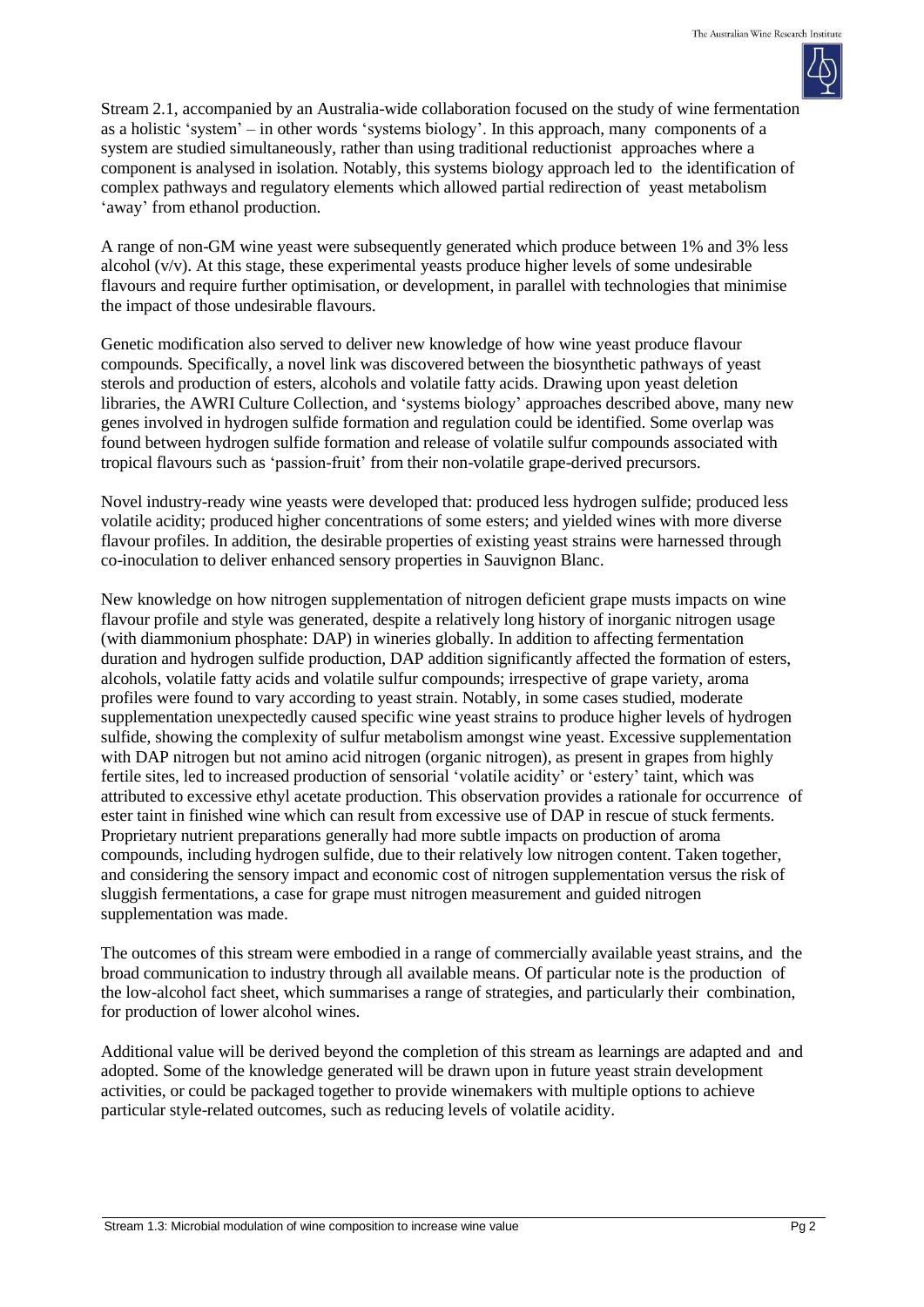

Stream 2.1, accompanied by an Australia-wide collaboration focused on the study of wine fermentation as a holistic 'system' – in other words 'systems biology'. In this approach, many components of a system are studied simultaneously, rather than using traditional reductionist approaches where a component is analysed in isolation. Notably, this systems biology approach led to the identification of complex pathways and regulatory elements which allowed partial redirection of yeast metabolism 'away' from ethanol production.

A range of non-GM wine yeast were subsequently generated which produce between 1% and 3% less alcohol (v/v). At this stage, these experimental yeasts produce higher levels of some undesirable flavours and require further optimisation, or development, in parallel with technologies that minimise the impact of those undesirable flavours.

Genetic modification also served to deliver new knowledge of how wine yeast produce flavour compounds. Specifically, a novel link was discovered between the biosynthetic pathways of yeast sterols and production of esters, alcohols and volatile fatty acids. Drawing upon yeast deletion libraries, the AWRI Culture Collection, and 'systems biology' approaches described above, many new genes involved in hydrogen sulfide formation and regulation could be identified. Some overlap was found between hydrogen sulfide formation and release of volatile sulfur compounds associated with tropical flavours such as 'passion-fruit' from their non-volatile grape-derived precursors.

Novel industry-ready wine yeasts were developed that: produced less hydrogen sulfide; produced less volatile acidity; produced higher concentrations of some esters; and yielded wines with more diverse flavour profiles. In addition, the desirable properties of existing yeast strains were harnessed through co-inoculation to deliver enhanced sensory properties in Sauvignon Blanc.

New knowledge on how nitrogen supplementation of nitrogen deficient grape musts impacts on wine flavour profile and style was generated, despite a relatively long history of inorganic nitrogen usage (with diammonium phosphate: DAP) in wineries globally. In addition to affecting fermentation duration and hydrogen sulfide production, DAP addition significantly affected the formation of esters, alcohols, volatile fatty acids and volatile sulfur compounds; irrespective of grape variety, aroma profiles were found to vary according to yeast strain. Notably, in some cases studied, moderate supplementation unexpectedly caused specific wine yeast strains to produce higher levels of hydrogen sulfide, showing the complexity of sulfur metabolism amongst wine yeast. Excessive supplementation with DAP nitrogen but not amino acid nitrogen (organic nitrogen), as present in grapes from highly fertile sites, led to increased production of sensorial 'volatile acidity' or 'estery' taint, which was attributed to excessive ethyl acetate production. This observation provides a rationale for occurrence of ester taint in finished wine which can result from excessive use of DAP in rescue of stuck ferments. Proprietary nutrient preparations generally had more subtle impacts on production of aroma compounds, including hydrogen sulfide, due to their relatively low nitrogen content. Taken together, and considering the sensory impact and economic cost of nitrogen supplementation versus the risk of sluggish fermentations, a case for grape must nitrogen measurement and guided nitrogen supplementation was made.

The outcomes of this stream were embodied in a range of commercially available yeast strains, and the broad communication to industry through all available means. Of particular note is the production of the low-alcohol fact sheet, which summarises a range of strategies, and particularly their combination, for production of lower alcohol wines.

Additional value will be derived beyond the completion of this stream as learnings are adapted and and adopted. Some of the knowledge generated will be drawn upon in future yeast strain development activities, or could be packaged together to provide winemakers with multiple options to achieve particular style-related outcomes, such as reducing levels of volatile acidity.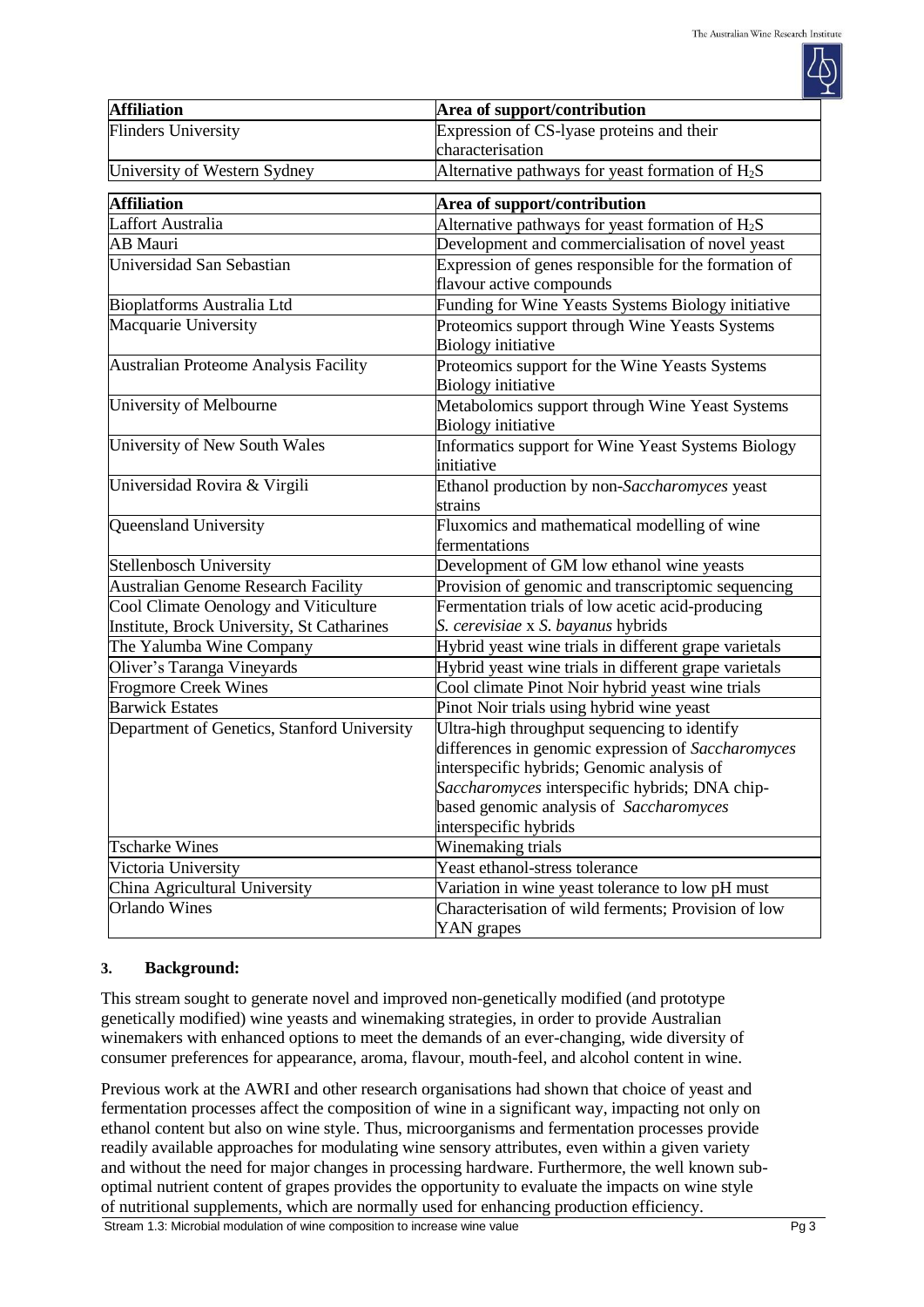| <b>Affiliation</b>                          | Area of support/contribution                                                                                                                                                                                                                                           |  |  |
|---------------------------------------------|------------------------------------------------------------------------------------------------------------------------------------------------------------------------------------------------------------------------------------------------------------------------|--|--|
| <b>Flinders University</b>                  | Expression of CS-lyase proteins and their                                                                                                                                                                                                                              |  |  |
|                                             | characterisation                                                                                                                                                                                                                                                       |  |  |
| University of Western Sydney                | Alternative pathways for yeast formation of $H_2S$                                                                                                                                                                                                                     |  |  |
| <b>Affiliation</b>                          | Area of support/contribution                                                                                                                                                                                                                                           |  |  |
| Laffort Australia                           | Alternative pathways for yeast formation of $H_2S$                                                                                                                                                                                                                     |  |  |
| <b>AB</b> Mauri                             | Development and commercialisation of novel yeast                                                                                                                                                                                                                       |  |  |
| Universidad San Sebastian                   | Expression of genes responsible for the formation of<br>flavour active compounds                                                                                                                                                                                       |  |  |
| Bioplatforms Australia Ltd                  | Funding for Wine Yeasts Systems Biology initiative                                                                                                                                                                                                                     |  |  |
| Macquarie University                        | Proteomics support through Wine Yeasts Systems<br><b>Biology initiative</b>                                                                                                                                                                                            |  |  |
| Australian Proteome Analysis Facility       | Proteomics support for the Wine Yeasts Systems<br><b>Biology initiative</b>                                                                                                                                                                                            |  |  |
| University of Melbourne                     | Metabolomics support through Wine Yeast Systems<br><b>Biology</b> initiative                                                                                                                                                                                           |  |  |
| University of New South Wales               | Informatics support for Wine Yeast Systems Biology<br>initiative                                                                                                                                                                                                       |  |  |
| Universidad Rovira & Virgili                | Ethanol production by non-Saccharomyces yeast<br>strains                                                                                                                                                                                                               |  |  |
| Queensland University                       | Fluxomics and mathematical modelling of wine<br>fermentations                                                                                                                                                                                                          |  |  |
| <b>Stellenbosch University</b>              | Development of GM low ethanol wine yeasts                                                                                                                                                                                                                              |  |  |
| <b>Australian Genome Research Facility</b>  | Provision of genomic and transcriptomic sequencing                                                                                                                                                                                                                     |  |  |
| Cool Climate Oenology and Viticulture       | Fermentation trials of low acetic acid-producing                                                                                                                                                                                                                       |  |  |
| Institute, Brock University, St Catharines  | S. cerevisiae x S. bayanus hybrids                                                                                                                                                                                                                                     |  |  |
| The Yalumba Wine Company                    | Hybrid yeast wine trials in different grape varietals                                                                                                                                                                                                                  |  |  |
| Oliver's Taranga Vineyards                  | Hybrid yeast wine trials in different grape varietals                                                                                                                                                                                                                  |  |  |
| <b>Frogmore Creek Wines</b>                 | Cool climate Pinot Noir hybrid yeast wine trials                                                                                                                                                                                                                       |  |  |
| <b>Barwick Estates</b>                      | Pinot Noir trials using hybrid wine yeast                                                                                                                                                                                                                              |  |  |
| Department of Genetics, Stanford University | Ultra-high throughput sequencing to identify<br>differences in genomic expression of Saccharomyces<br>interspecific hybrids; Genomic analysis of<br>Saccharomyces interspecific hybrids; DNA chip-<br>based genomic analysis of Saccharomyces<br>interspecific hybrids |  |  |
| <b>Tscharke Wines</b>                       | Winemaking trials                                                                                                                                                                                                                                                      |  |  |
| Victoria University                         | Yeast ethanol-stress tolerance                                                                                                                                                                                                                                         |  |  |
| China Agricultural University               | Variation in wine yeast tolerance to low pH must                                                                                                                                                                                                                       |  |  |
| <b>Orlando Wines</b>                        | Characterisation of wild ferments; Provision of low<br>YAN grapes                                                                                                                                                                                                      |  |  |

### **3. Background:**

This stream sought to generate novel and improved non-genetically modified (and prototype genetically modified) wine yeasts and winemaking strategies, in order to provide Australian winemakers with enhanced options to meet the demands of an ever-changing, wide diversity of consumer preferences for appearance, aroma, flavour, mouth-feel, and alcohol content in wine.

Previous work at the AWRI and other research organisations had shown that choice of yeast and fermentation processes affect the composition of wine in a significant way, impacting not only on ethanol content but also on wine style. Thus, microorganisms and fermentation processes provide readily available approaches for modulating wine sensory attributes, even within a given variety and without the need for major changes in processing hardware. Furthermore, the well known suboptimal nutrient content of grapes provides the opportunity to evaluate the impacts on wine style of nutritional supplements, which are normally used for enhancing production efficiency.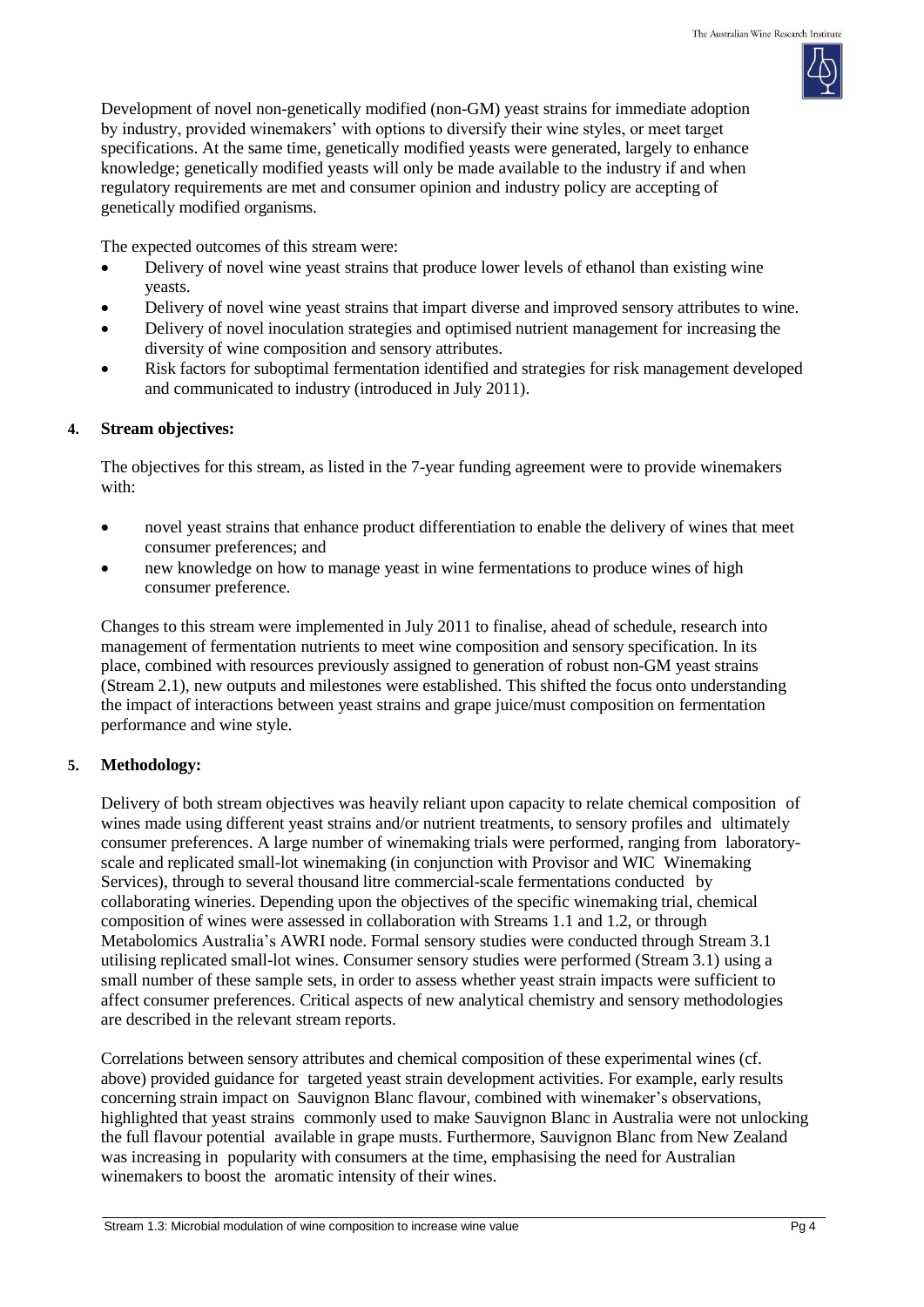Development of novel non-genetically modified (non-GM) yeast strains for immediate adoption by industry, provided winemakers' with options to diversify their wine styles, or meet target specifications. At the same time, genetically modified yeasts were generated, largely to enhance knowledge; genetically modified yeasts will only be made available to the industry if and when regulatory requirements are met and consumer opinion and industry policy are accepting of genetically modified organisms.

The expected outcomes of this stream were:

- Delivery of novel wine yeast strains that produce lower levels of ethanol than existing wine yeasts.
- Delivery of novel wine yeast strains that impart diverse and improved sensory attributes to wine.
- Delivery of novel inoculation strategies and optimised nutrient management for increasing the diversity of wine composition and sensory attributes.
- Risk factors for suboptimal fermentation identified and strategies for risk management developed and communicated to industry (introduced in July 2011).

### **4. Stream objectives:**

The objectives for this stream, as listed in the 7-year funding agreement were to provide winemakers with:

- novel yeast strains that enhance product differentiation to enable the delivery of wines that meet consumer preferences; and
- new knowledge on how to manage yeast in wine fermentations to produce wines of high consumer preference.

Changes to this stream were implemented in July 2011 to finalise, ahead of schedule, research into management of fermentation nutrients to meet wine composition and sensory specification. In its place, combined with resources previously assigned to generation of robust non-GM yeast strains (Stream 2.1), new outputs and milestones were established. This shifted the focus onto understanding the impact of interactions between yeast strains and grape juice/must composition on fermentation performance and wine style.

# **5. Methodology:**

Delivery of both stream objectives was heavily reliant upon capacity to relate chemical composition of wines made using different yeast strains and/or nutrient treatments, to sensory profiles and ultimately consumer preferences. A large number of winemaking trials were performed, ranging from laboratoryscale and replicated small-lot winemaking (in conjunction with Provisor and WIC Winemaking Services), through to several thousand litre commercial-scale fermentations conducted by collaborating wineries. Depending upon the objectives of the specific winemaking trial, chemical composition of wines were assessed in collaboration with Streams 1.1 and 1.2, or through Metabolomics Australia's AWRI node. Formal sensory studies were conducted through Stream 3.1 utilising replicated small-lot wines. Consumer sensory studies were performed (Stream 3.1) using a small number of these sample sets, in order to assess whether yeast strain impacts were sufficient to affect consumer preferences. Critical aspects of new analytical chemistry and sensory methodologies are described in the relevant stream reports.

Correlations between sensory attributes and chemical composition of these experimental wines (cf. above) provided guidance for targeted yeast strain development activities. For example, early results concerning strain impact on Sauvignon Blanc flavour, combined with winemaker's observations, highlighted that yeast strains commonly used to make Sauvignon Blanc in Australia were not unlocking the full flavour potential available in grape musts. Furthermore, Sauvignon Blanc from New Zealand was increasing in popularity with consumers at the time, emphasising the need for Australian winemakers to boost the aromatic intensity of their wines.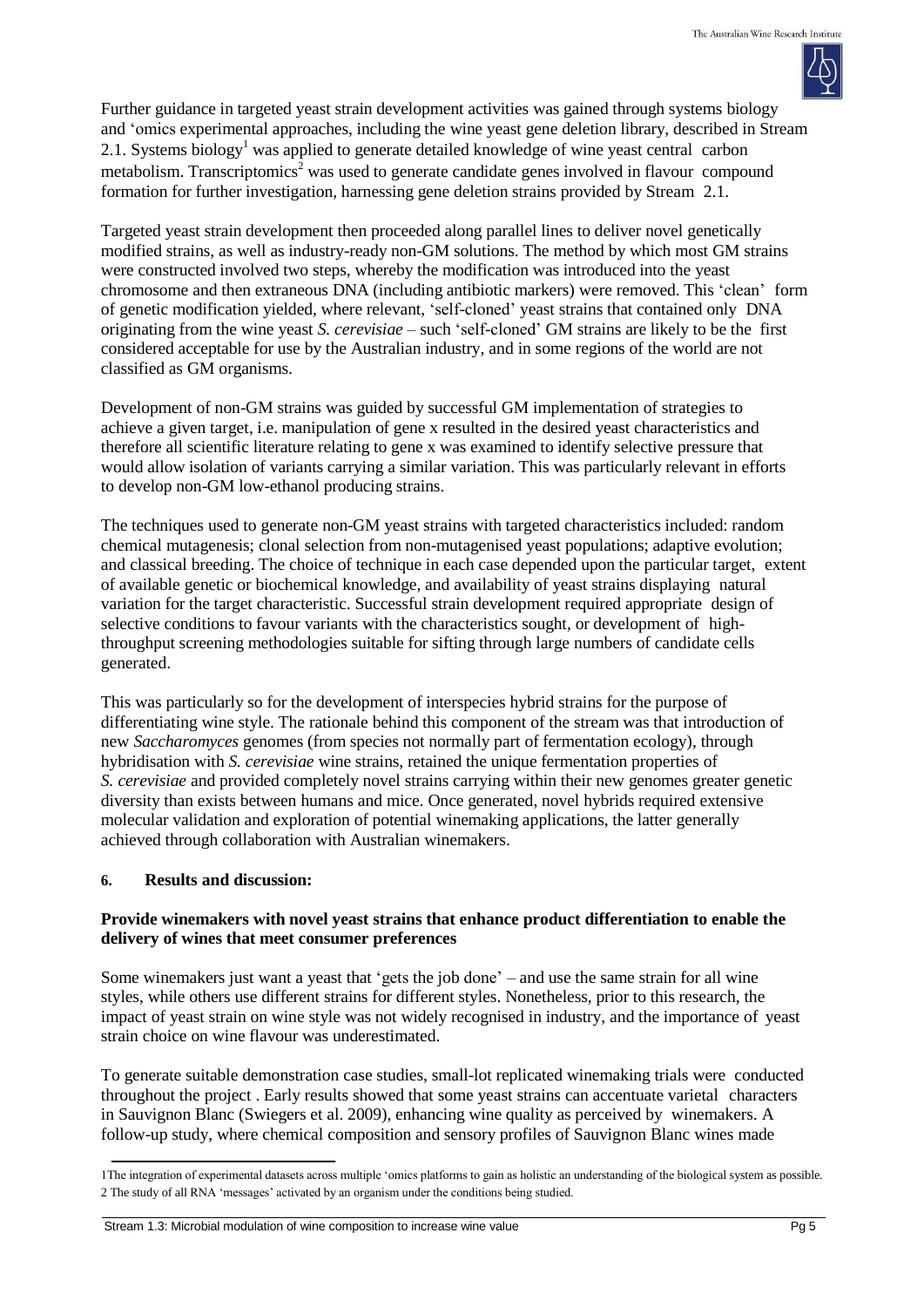

Further guidance in targeted yeast strain development activities was gained through systems biology and 'omics experimental approaches, including the wine yeast gene deletion library, described in Stream 2.1. Systems biology<sup>1</sup> was applied to generate detailed knowledge of wine yeast central carbon metabolism. Transcriptomics<sup>2</sup> was used to generate candidate genes involved in flavour compound formation for further investigation, harnessing gene deletion strains provided by Stream 2.1.

Targeted yeast strain development then proceeded along parallel lines to deliver novel genetically modified strains, as well as industry-ready non-GM solutions. The method by which most GM strains were constructed involved two steps, whereby the modification was introduced into the yeast chromosome and then extraneous DNA (including antibiotic markers) were removed. This 'clean' form of genetic modification yielded, where relevant, 'self-cloned' yeast strains that contained only DNA originating from the wine yeast *S. cerevisiae* – such 'self-cloned' GM strains are likely to be the first considered acceptable for use by the Australian industry, and in some regions of the world are not classified as GM organisms.

Development of non-GM strains was guided by successful GM implementation of strategies to achieve a given target, i.e. manipulation of gene x resulted in the desired yeast characteristics and therefore all scientific literature relating to gene x was examined to identify selective pressure that would allow isolation of variants carrying a similar variation. This was particularly relevant in efforts to develop non-GM low-ethanol producing strains.

The techniques used to generate non-GM yeast strains with targeted characteristics included: random chemical mutagenesis; clonal selection from non-mutagenised yeast populations; adaptive evolution; and classical breeding. The choice of technique in each case depended upon the particular target, extent of available genetic or biochemical knowledge, and availability of yeast strains displaying natural variation for the target characteristic. Successful strain development required appropriate design of selective conditions to favour variants with the characteristics sought, or development of highthroughput screening methodologies suitable for sifting through large numbers of candidate cells generated.

This was particularly so for the development of interspecies hybrid strains for the purpose of differentiating wine style. The rationale behind this component of the stream was that introduction of new *Saccharomyces* genomes (from species not normally part of fermentation ecology), through hybridisation with *S. cerevisiae* wine strains, retained the unique fermentation properties of *S. cerevisiae* and provided completely novel strains carrying within their new genomes greater genetic diversity than exists between humans and mice. Once generated, novel hybrids required extensive molecular validation and exploration of potential winemaking applications, the latter generally achieved through collaboration with Australian winemakers.

# **6. Results and discussion:**

## **Provide winemakers with novel yeast strains that enhance product differentiation to enable the delivery of wines that meet consumer preferences**

Some winemakers just want a yeast that 'gets the job done' – and use the same strain for all wine styles, while others use different strains for different styles. Nonetheless, prior to this research, the impact of yeast strain on wine style was not widely recognised in industry, and the importance of yeast strain choice on wine flavour was underestimated.

To generate suitable demonstration case studies, small-lot replicated winemaking trials were conducted throughout the project . Early results showed that some yeast strains can accentuate varietal characters in Sauvignon Blanc (Swiegers et al. 2009), enhancing wine quality as perceived by winemakers. A follow-up study, where chemical composition and sensory profiles of Sauvignon Blanc wines made

<sup>1</sup>The integration of experimental datasets across multiple 'omics platforms to gain as holistic an understanding of the biological system as possible. 2 The study of all RNA 'messages' activated by an organism under the conditions being studied.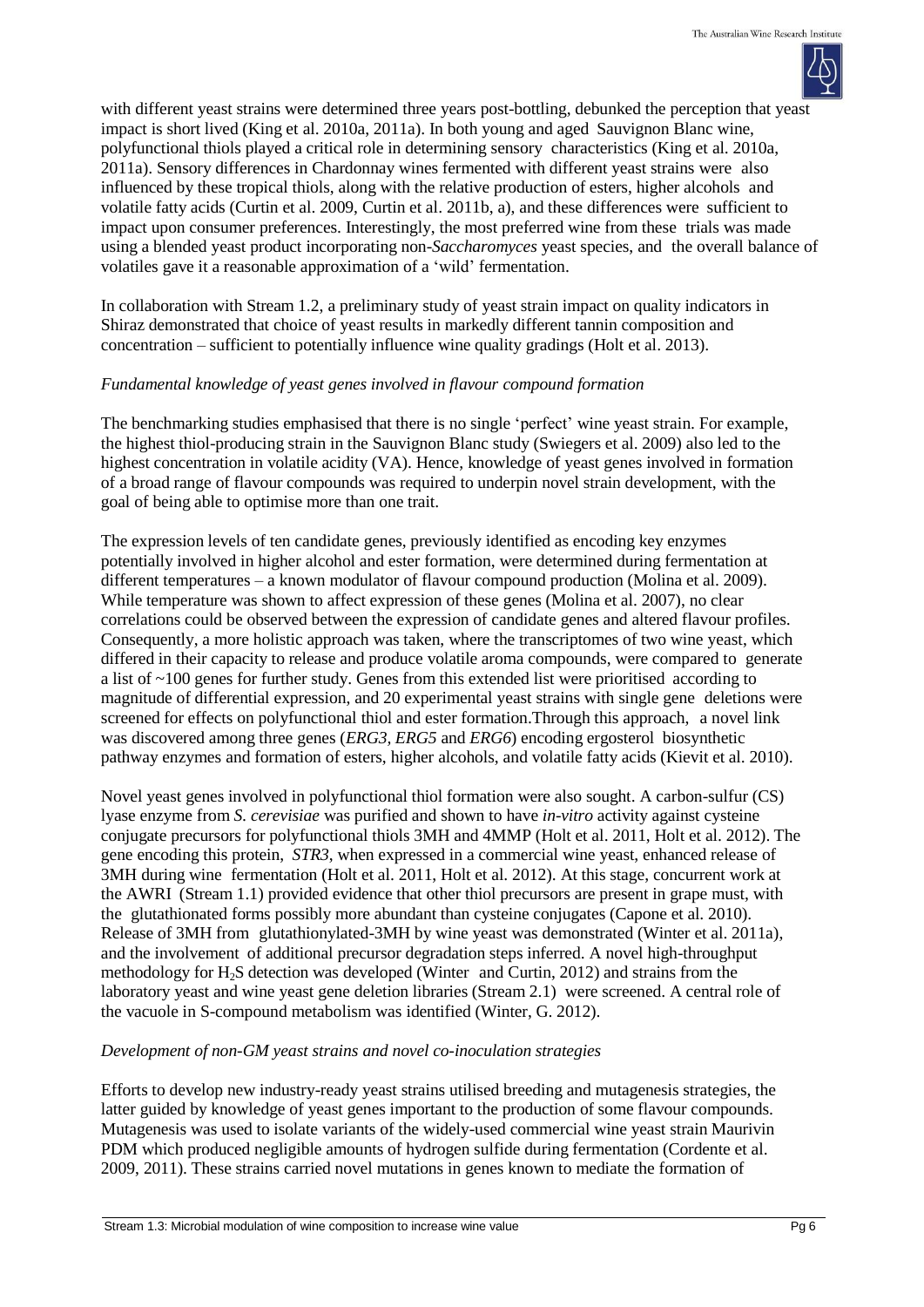

with different yeast strains were determined three years post-bottling, debunked the perception that yeast impact is short lived (King et al. 2010a, 2011a). In both young and aged Sauvignon Blanc wine, polyfunctional thiols played a critical role in determining sensory characteristics (King et al. 2010a, 2011a). Sensory differences in Chardonnay wines fermented with different yeast strains were also influenced by these tropical thiols, along with the relative production of esters, higher alcohols and volatile fatty acids (Curtin et al. 2009, Curtin et al. 2011b, a), and these differences were sufficient to impact upon consumer preferences. Interestingly, the most preferred wine from these trials was made using a blended yeast product incorporating non-*Saccharomyces* yeast species, and the overall balance of volatiles gave it a reasonable approximation of a 'wild' fermentation.

In collaboration with Stream 1.2, a preliminary study of yeast strain impact on quality indicators in Shiraz demonstrated that choice of yeast results in markedly different tannin composition and concentration – sufficient to potentially influence wine quality gradings (Holt et al. 2013).

### *Fundamental knowledge of yeast genes involved in flavour compound formation*

The benchmarking studies emphasised that there is no single 'perfect' wine yeast strain. For example, the highest thiol-producing strain in the Sauvignon Blanc study (Swiegers et al. 2009) also led to the highest concentration in volatile acidity (VA). Hence, knowledge of yeast genes involved in formation of a broad range of flavour compounds was required to underpin novel strain development, with the goal of being able to optimise more than one trait.

The expression levels of ten candidate genes, previously identified as encoding key enzymes potentially involved in higher alcohol and ester formation, were determined during fermentation at different temperatures – a known modulator of flavour compound production (Molina et al. 2009). While temperature was shown to affect expression of these genes (Molina et al. 2007), no clear correlations could be observed between the expression of candidate genes and altered flavour profiles. Consequently, a more holistic approach was taken, where the transcriptomes of two wine yeast, which differed in their capacity to release and produce volatile aroma compounds, were compared to generate a list of ~100 genes for further study. Genes from this extended list were prioritised according to magnitude of differential expression, and 20 experimental yeast strains with single gene deletions were screened for effects on polyfunctional thiol and ester formation.Through this approach, a novel link was discovered among three genes (*ERG3, ERG5* and *ERG6*) encoding ergosterol biosynthetic pathway enzymes and formation of esters, higher alcohols, and volatile fatty acids (Kievit et al. 2010).

Novel yeast genes involved in polyfunctional thiol formation were also sought. A carbon-sulfur (CS) lyase enzyme from *S. cerevisiae* was purified and shown to have *in-vitro* activity against cysteine conjugate precursors for polyfunctional thiols 3MH and 4MMP (Holt et al. 2011, Holt et al. 2012). The gene encoding this protein, *STR3*, when expressed in a commercial wine yeast, enhanced release of 3MH during wine fermentation (Holt et al. 2011, Holt et al. 2012). At this stage, concurrent work at the AWRI (Stream 1.1) provided evidence that other thiol precursors are present in grape must, with the glutathionated forms possibly more abundant than cysteine conjugates (Capone et al. 2010). Release of 3MH from glutathionylated-3MH by wine yeast was demonstrated (Winter et al. 2011a), and the involvement of additional precursor degradation steps inferred. A novel high-throughput methodology for  $H_2S$  detection was developed (Winter and Curtin, 2012) and strains from the laboratory yeast and wine yeast gene deletion libraries (Stream 2.1) were screened. A central role of the vacuole in S-compound metabolism was identified (Winter, G. 2012).

## *Development of non-GM yeast strains and novel co-inoculation strategies*

Efforts to develop new industry-ready yeast strains utilised breeding and mutagenesis strategies, the latter guided by knowledge of yeast genes important to the production of some flavour compounds. Mutagenesis was used to isolate variants of the widely-used commercial wine yeast strain Maurivin PDM which produced negligible amounts of hydrogen sulfide during fermentation (Cordente et al. 2009, 2011). These strains carried novel mutations in genes known to mediate the formation of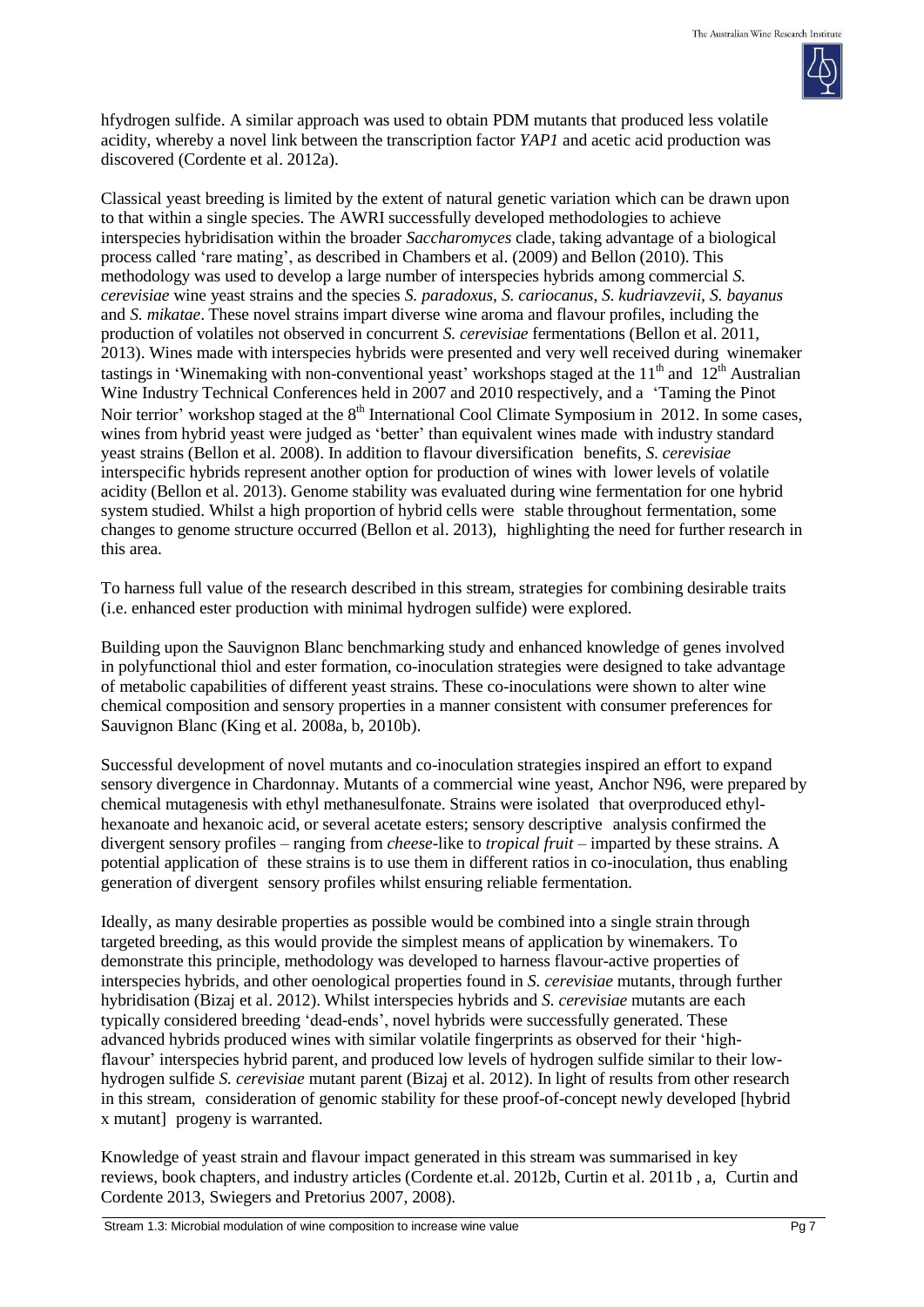

hfydrogen sulfide. A similar approach was used to obtain PDM mutants that produced less volatile acidity, whereby a novel link between the transcription factor *YAP1* and acetic acid production was discovered (Cordente et al. 2012a).

Classical yeast breeding is limited by the extent of natural genetic variation which can be drawn upon to that within a single species. The AWRI successfully developed methodologies to achieve interspecies hybridisation within the broader *Saccharomyces* clade, taking advantage of a biological process called 'rare mating', as described in Chambers et al. (2009) and Bellon (2010). This methodology was used to develop a large number of interspecies hybrids among commercial *S. cerevisiae* wine yeast strains and the species *S. paradoxus*, *S. cariocanus*, *S. kudriavzevii, S. bayanus* and *S. mikatae*. These novel strains impart diverse wine aroma and flavour profiles, including the production of volatiles not observed in concurrent *S. cerevisiae* fermentations (Bellon et al. 2011, 2013). Wines made with interspecies hybrids were presented and very well received during winemaker tastings in 'Winemaking with non-conventional yeast' workshops staged at the  $11<sup>th</sup>$  and  $12<sup>th</sup>$  Australian Wine Industry Technical Conferences held in 2007 and 2010 respectively, and a 'Taming the Pinot Noir terrior' workshop staged at the 8<sup>th</sup> International Cool Climate Symposium in 2012. In some cases, wines from hybrid yeast were judged as 'better' than equivalent wines made with industry standard yeast strains (Bellon et al. 2008). In addition to flavour diversification benefits, *S. cerevisiae* interspecific hybrids represent another option for production of wines with lower levels of volatile acidity (Bellon et al. 2013). Genome stability was evaluated during wine fermentation for one hybrid system studied. Whilst a high proportion of hybrid cells were stable throughout fermentation, some changes to genome structure occurred (Bellon et al. 2013), highlighting the need for further research in this area.

To harness full value of the research described in this stream, strategies for combining desirable traits (i.e. enhanced ester production with minimal hydrogen sulfide) were explored.

Building upon the Sauvignon Blanc benchmarking study and enhanced knowledge of genes involved in polyfunctional thiol and ester formation, co-inoculation strategies were designed to take advantage of metabolic capabilities of different yeast strains. These co-inoculations were shown to alter wine chemical composition and sensory properties in a manner consistent with consumer preferences for Sauvignon Blanc (King et al. 2008a, b, 2010b).

Successful development of novel mutants and co-inoculation strategies inspired an effort to expand sensory divergence in Chardonnay. Mutants of a commercial wine yeast, Anchor N96, were prepared by chemical mutagenesis with ethyl methanesulfonate. Strains were isolated that overproduced ethylhexanoate and hexanoic acid, or several acetate esters; sensory descriptive analysis confirmed the divergent sensory profiles – ranging from *cheese*-like to *tropical fruit* – imparted by these strains. A potential application of these strains is to use them in different ratios in co-inoculation, thus enabling generation of divergent sensory profiles whilst ensuring reliable fermentation.

Ideally, as many desirable properties as possible would be combined into a single strain through targeted breeding, as this would provide the simplest means of application by winemakers. To demonstrate this principle, methodology was developed to harness flavour-active properties of interspecies hybrids, and other oenological properties found in *S. cerevisiae* mutants, through further hybridisation (Bizaj et al. 2012). Whilst interspecies hybrids and *S. cerevisiae* mutants are each typically considered breeding 'dead-ends', novel hybrids were successfully generated. These advanced hybrids produced wines with similar volatile fingerprints as observed for their 'highflavour' interspecies hybrid parent, and produced low levels of hydrogen sulfide similar to their lowhydrogen sulfide *S. cerevisiae* mutant parent (Bizaj et al. 2012). In light of results from other research in this stream, consideration of genomic stability for these proof-of-concept newly developed [hybrid x mutant] progeny is warranted.

Knowledge of yeast strain and flavour impact generated in this stream was summarised in key reviews, book chapters, and industry articles (Cordente et.al. 2012b, Curtin et al. 2011b , a, Curtin and Cordente 2013, Swiegers and Pretorius 2007, 2008).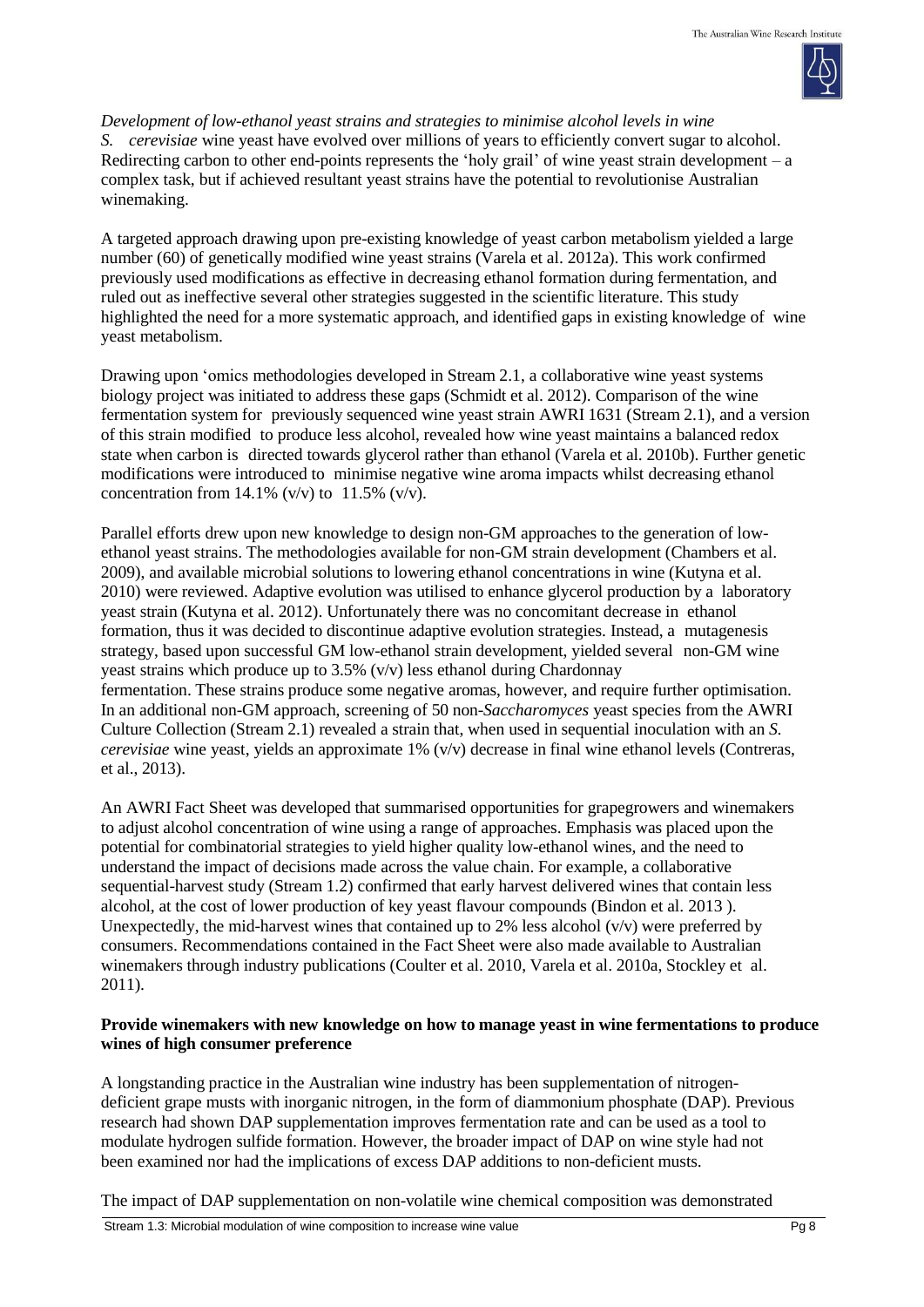

*Development of low-ethanol yeast strains and strategies to minimise alcohol levels in wine S. cerevisiae* wine yeast have evolved over millions of years to efficiently convert sugar to alcohol. Redirecting carbon to other end-points represents the 'holy grail' of wine yeast strain development – a complex task, but if achieved resultant yeast strains have the potential to revolutionise Australian winemaking.

A targeted approach drawing upon pre-existing knowledge of yeast carbon metabolism yielded a large number (60) of genetically modified wine yeast strains (Varela et al. 2012a). This work confirmed previously used modifications as effective in decreasing ethanol formation during fermentation, and ruled out as ineffective several other strategies suggested in the scientific literature. This study highlighted the need for a more systematic approach, and identified gaps in existing knowledge of wine yeast metabolism.

Drawing upon 'omics methodologies developed in Stream 2.1, a collaborative wine yeast systems biology project was initiated to address these gaps (Schmidt et al. 2012). Comparison of the wine fermentation system for previously sequenced wine yeast strain AWRI 1631 (Stream 2.1), and a version of this strain modified to produce less alcohol, revealed how wine yeast maintains a balanced redox state when carbon is directed towards glycerol rather than ethanol (Varela et al. 2010b). Further genetic modifications were introduced to minimise negative wine aroma impacts whilst decreasing ethanol concentration from 14.1% (v/v) to  $11.5\%$  (v/v).

Parallel efforts drew upon new knowledge to design non-GM approaches to the generation of lowethanol yeast strains. The methodologies available for non-GM strain development (Chambers et al. 2009), and available microbial solutions to lowering ethanol concentrations in wine (Kutyna et al. 2010) were reviewed. Adaptive evolution was utilised to enhance glycerol production by a laboratory yeast strain (Kutyna et al. 2012). Unfortunately there was no concomitant decrease in ethanol formation, thus it was decided to discontinue adaptive evolution strategies. Instead, a mutagenesis strategy, based upon successful GM low-ethanol strain development, yielded several non-GM wine yeast strains which produce up to  $3.5\%$  (v/v) less ethanol during Chardonnay fermentation. These strains produce some negative aromas, however, and require further optimisation. In an additional non-GM approach, screening of 50 non-*Saccharomyces* yeast species from the AWRI Culture Collection (Stream 2.1) revealed a strain that, when used in sequential inoculation with an *S. cerevisiae* wine yeast, yields an approximate 1% (v/v) decrease in final wine ethanol levels (Contreras, et al., 2013).

An AWRI Fact Sheet was developed that summarised opportunities for grapegrowers and winemakers to adjust alcohol concentration of wine using a range of approaches. Emphasis was placed upon the potential for combinatorial strategies to yield higher quality low-ethanol wines, and the need to understand the impact of decisions made across the value chain. For example, a collaborative sequential-harvest study (Stream 1.2) confirmed that early harvest delivered wines that contain less alcohol, at the cost of lower production of key yeast flavour compounds (Bindon et al. 2013 ). Unexpectedly, the mid-harvest wines that contained up to 2% less alcohol  $(v/v)$  were preferred by consumers. Recommendations contained in the Fact Sheet were also made available to Australian winemakers through industry publications (Coulter et al. 2010, Varela et al. 2010a, Stockley et al. 2011).

## **Provide winemakers with new knowledge on how to manage yeast in wine fermentations to produce wines of high consumer preference**

A longstanding practice in the Australian wine industry has been supplementation of nitrogendeficient grape musts with inorganic nitrogen, in the form of diammonium phosphate (DAP). Previous research had shown DAP supplementation improves fermentation rate and can be used as a tool to modulate hydrogen sulfide formation. However, the broader impact of DAP on wine style had not been examined nor had the implications of excess DAP additions to non-deficient musts.

The impact of DAP supplementation on non-volatile wine chemical composition was demonstrated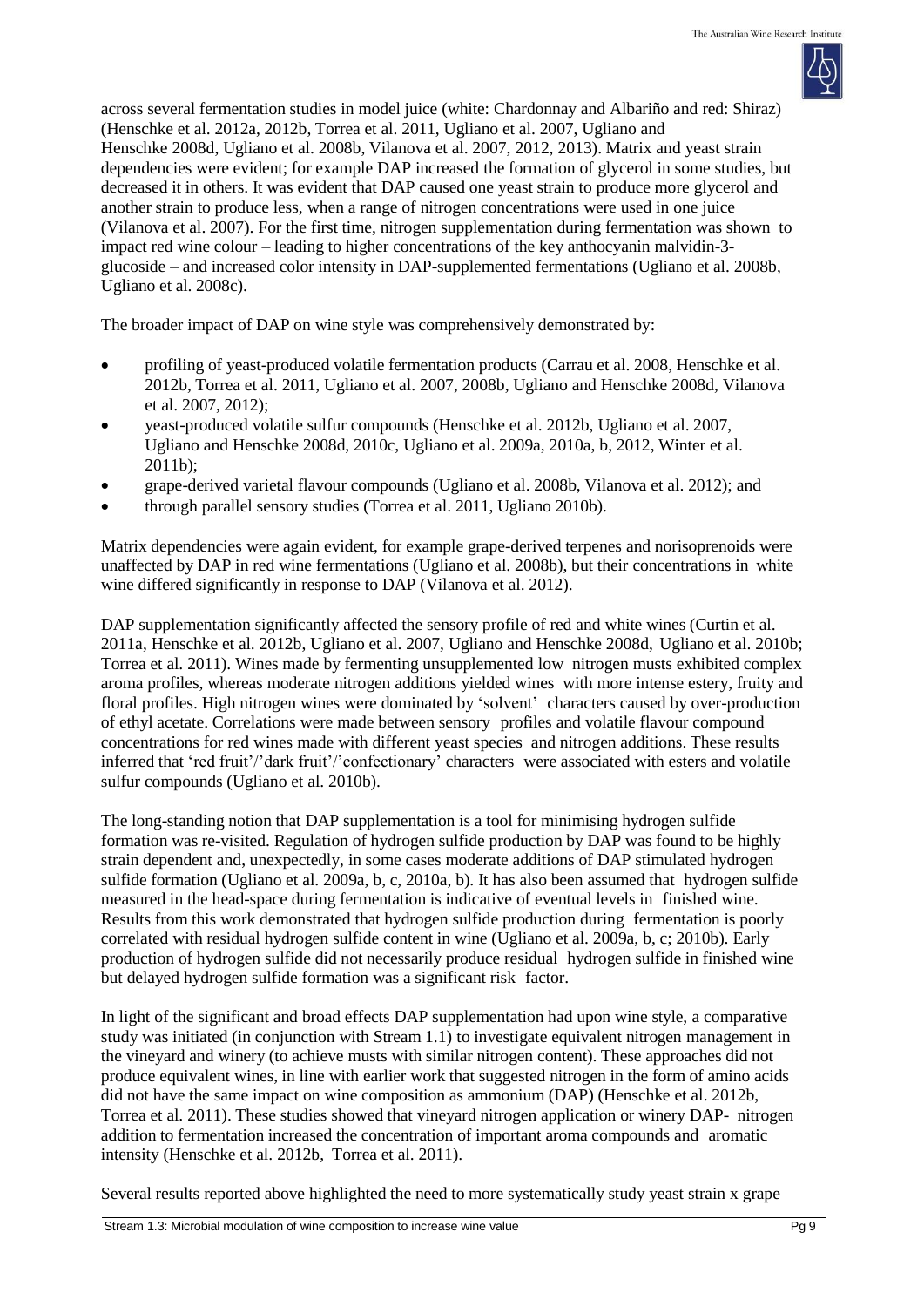

across several fermentation studies in model juice (white: Chardonnay and Albariño and red: Shiraz) (Henschke et al. 2012a, 2012b, Torrea et al. 2011, Ugliano et al. 2007, Ugliano and Henschke 2008d, Ugliano et al. 2008b, Vilanova et al. 2007, 2012, 2013). Matrix and yeast strain dependencies were evident; for example DAP increased the formation of glycerol in some studies, but decreased it in others. It was evident that DAP caused one yeast strain to produce more glycerol and another strain to produce less, when a range of nitrogen concentrations were used in one juice (Vilanova et al. 2007). For the first time, nitrogen supplementation during fermentation was shown to impact red wine colour – leading to higher concentrations of the key anthocyanin malvidin-3 glucoside – and increased color intensity in DAP-supplemented fermentations (Ugliano et al. 2008b, Ugliano et al. 2008c).

The broader impact of DAP on wine style was comprehensively demonstrated by:

- profiling of yeast-produced volatile fermentation products (Carrau et al. 2008, Henschke et al. 2012b, Torrea et al. 2011, Ugliano et al. 2007, 2008b, Ugliano and Henschke 2008d, Vilanova et al. 2007, 2012);
- yeast-produced volatile sulfur compounds (Henschke et al. 2012b, Ugliano et al. 2007, Ugliano and Henschke 2008d, 2010c, Ugliano et al. 2009a, 2010a, b, 2012, Winter et al. 2011b);
- grape-derived varietal flavour compounds (Ugliano et al. 2008b, Vilanova et al. 2012); and
- through parallel sensory studies (Torrea et al. 2011, Ugliano 2010b).

Matrix dependencies were again evident, for example grape-derived terpenes and norisoprenoids were unaffected by DAP in red wine fermentations (Ugliano et al. 2008b), but their concentrations in white wine differed significantly in response to DAP (Vilanova et al. 2012).

DAP supplementation significantly affected the sensory profile of red and white wines (Curtin et al. 2011a, Henschke et al. 2012b, Ugliano et al. 2007, Ugliano and Henschke 2008d, Ugliano et al. 2010b; Torrea et al. 2011). Wines made by fermenting unsupplemented low nitrogen musts exhibited complex aroma profiles, whereas moderate nitrogen additions yielded wines with more intense estery, fruity and floral profiles. High nitrogen wines were dominated by 'solvent' characters caused by over-production of ethyl acetate. Correlations were made between sensory profiles and volatile flavour compound concentrations for red wines made with different yeast species and nitrogen additions. These results inferred that 'red fruit'/'dark fruit'/'confectionary' characters were associated with esters and volatile sulfur compounds (Ugliano et al. 2010b).

The long-standing notion that DAP supplementation is a tool for minimising hydrogen sulfide formation was re-visited. Regulation of hydrogen sulfide production by DAP was found to be highly strain dependent and, unexpectedly, in some cases moderate additions of DAP stimulated hydrogen sulfide formation (Ugliano et al. 2009a, b, c, 2010a, b). It has also been assumed that hydrogen sulfide measured in the head-space during fermentation is indicative of eventual levels in finished wine. Results from this work demonstrated that hydrogen sulfide production during fermentation is poorly correlated with residual hydrogen sulfide content in wine (Ugliano et al. 2009a, b, c; 2010b). Early production of hydrogen sulfide did not necessarily produce residual hydrogen sulfide in finished wine but delayed hydrogen sulfide formation was a significant risk factor.

In light of the significant and broad effects DAP supplementation had upon wine style, a comparative study was initiated (in conjunction with Stream 1.1) to investigate equivalent nitrogen management in the vineyard and winery (to achieve musts with similar nitrogen content). These approaches did not produce equivalent wines, in line with earlier work that suggested nitrogen in the form of amino acids did not have the same impact on wine composition as ammonium (DAP) (Henschke et al. 2012b, Torrea et al. 2011). These studies showed that vineyard nitrogen application or winery DAP- nitrogen addition to fermentation increased the concentration of important aroma compounds and aromatic intensity (Henschke et al. 2012b, Torrea et al. 2011).

Several results reported above highlighted the need to more systematically study yeast strain x grape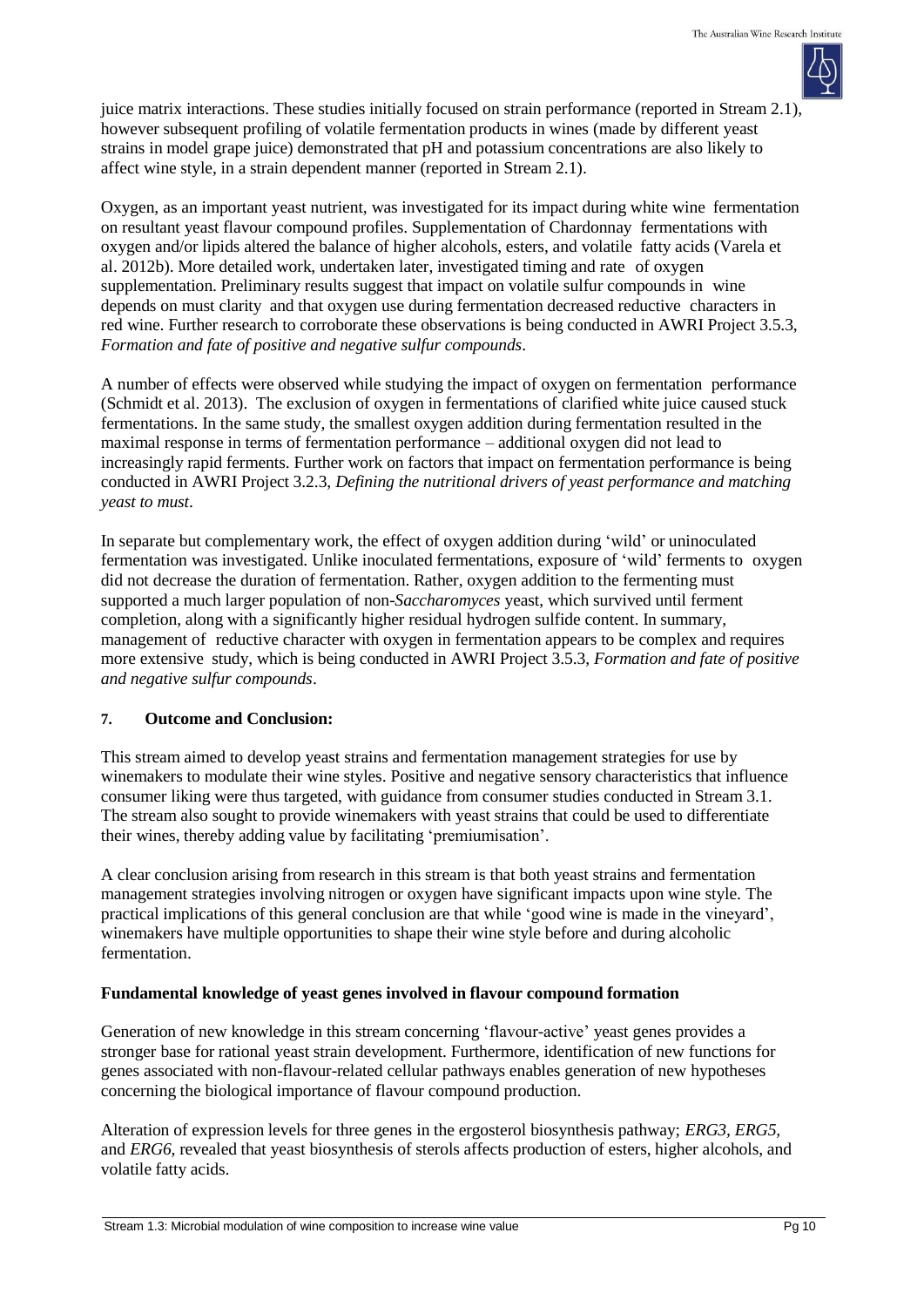juice matrix interactions. These studies initially focused on strain performance (reported in Stream 2.1), however subsequent profiling of volatile fermentation products in wines (made by different yeast strains in model grape juice) demonstrated that pH and potassium concentrations are also likely to affect wine style, in a strain dependent manner (reported in Stream 2.1).

Oxygen, as an important yeast nutrient, was investigated for its impact during white wine fermentation on resultant yeast flavour compound profiles. Supplementation of Chardonnay fermentations with oxygen and/or lipids altered the balance of higher alcohols, esters, and volatile fatty acids (Varela et al. 2012b). More detailed work, undertaken later, investigated timing and rate of oxygen supplementation. Preliminary results suggest that impact on volatile sulfur compounds in wine depends on must clarity and that oxygen use during fermentation decreased reductive characters in red wine. Further research to corroborate these observations is being conducted in AWRI Project 3.5.3, *Formation and fate of positive and negative sulfur compounds*.

A number of effects were observed while studying the impact of oxygen on fermentation performance (Schmidt et al. 2013). The exclusion of oxygen in fermentations of clarified white juice caused stuck fermentations. In the same study, the smallest oxygen addition during fermentation resulted in the maximal response in terms of fermentation performance – additional oxygen did not lead to increasingly rapid ferments. Further work on factors that impact on fermentation performance is being conducted in AWRI Project 3.2.3, *Defining the nutritional drivers of yeast performance and matching yeast to must*.

In separate but complementary work, the effect of oxygen addition during 'wild' or uninoculated fermentation was investigated. Unlike inoculated fermentations, exposure of 'wild' ferments to oxygen did not decrease the duration of fermentation. Rather, oxygen addition to the fermenting must supported a much larger population of non-*Saccharomyces* yeast, which survived until ferment completion, along with a significantly higher residual hydrogen sulfide content. In summary, management of reductive character with oxygen in fermentation appears to be complex and requires more extensive study, which is being conducted in AWRI Project 3.5.3, *Formation and fate of positive and negative sulfur compounds*.

### **7. Outcome and Conclusion:**

This stream aimed to develop yeast strains and fermentation management strategies for use by winemakers to modulate their wine styles. Positive and negative sensory characteristics that influence consumer liking were thus targeted, with guidance from consumer studies conducted in Stream 3.1. The stream also sought to provide winemakers with yeast strains that could be used to differentiate their wines, thereby adding value by facilitating 'premiumisation'.

A clear conclusion arising from research in this stream is that both yeast strains and fermentation management strategies involving nitrogen or oxygen have significant impacts upon wine style. The practical implications of this general conclusion are that while 'good wine is made in the vineyard', winemakers have multiple opportunities to shape their wine style before and during alcoholic fermentation.

# **Fundamental knowledge of yeast genes involved in flavour compound formation**

Generation of new knowledge in this stream concerning 'flavour-active' yeast genes provides a stronger base for rational yeast strain development. Furthermore, identification of new functions for genes associated with non-flavour-related cellular pathways enables generation of new hypotheses concerning the biological importance of flavour compound production.

Alteration of expression levels for three genes in the ergosterol biosynthesis pathway; *ERG3, ERG5,* and *ERG6,* revealed that yeast biosynthesis of sterols affects production of esters, higher alcohols, and volatile fatty acids.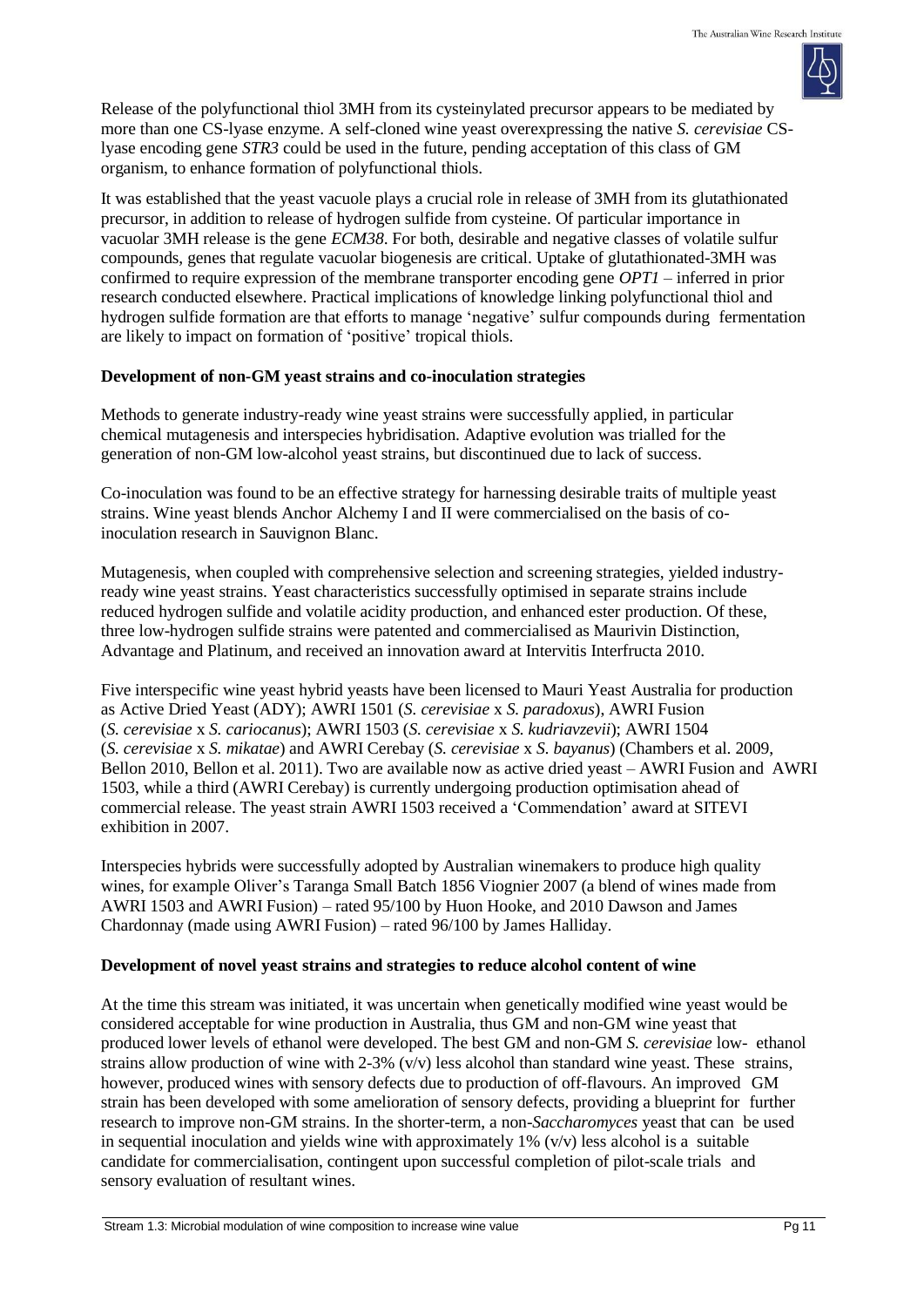

Release of the polyfunctional thiol 3MH from its cysteinylated precursor appears to be mediated by more than one CS-lyase enzyme. A self-cloned wine yeast overexpressing the native *S. cerevisiae* CSlyase encoding gene *STR3* could be used in the future, pending acceptation of this class of GM organism, to enhance formation of polyfunctional thiols.

It was established that the yeast vacuole plays a crucial role in release of 3MH from its glutathionated precursor, in addition to release of hydrogen sulfide from cysteine. Of particular importance in vacuolar 3MH release is the gene *ECM38*. For both, desirable and negative classes of volatile sulfur compounds, genes that regulate vacuolar biogenesis are critical. Uptake of glutathionated-3MH was confirmed to require expression of the membrane transporter encoding gene *OPT1* – inferred in prior research conducted elsewhere. Practical implications of knowledge linking polyfunctional thiol and hydrogen sulfide formation are that efforts to manage 'negative' sulfur compounds during fermentation are likely to impact on formation of 'positive' tropical thiols.

## **Development of non-GM yeast strains and co-inoculation strategies**

Methods to generate industry-ready wine yeast strains were successfully applied, in particular chemical mutagenesis and interspecies hybridisation. Adaptive evolution was trialled for the generation of non-GM low-alcohol yeast strains, but discontinued due to lack of success.

Co-inoculation was found to be an effective strategy for harnessing desirable traits of multiple yeast strains. Wine yeast blends Anchor Alchemy I and II were commercialised on the basis of coinoculation research in Sauvignon Blanc.

Mutagenesis, when coupled with comprehensive selection and screening strategies, yielded industryready wine yeast strains. Yeast characteristics successfully optimised in separate strains include reduced hydrogen sulfide and volatile acidity production, and enhanced ester production. Of these, three low-hydrogen sulfide strains were patented and commercialised as Maurivin Distinction, Advantage and Platinum, and received an innovation award at Intervitis Interfructa 2010.

Five interspecific wine yeast hybrid yeasts have been licensed to Mauri Yeast Australia for production as Active Dried Yeast (ADY); AWRI 1501 (*S. cerevisiae* x *S. paradoxus*), AWRI Fusion (*S. cerevisiae* x *S. cariocanus*); AWRI 1503 (*S. cerevisiae* x *S. kudriavzevii*); AWRI 1504 (*S. cerevisiae* x *S. mikatae*) and AWRI Cerebay (*S. cerevisiae* x *S. bayanus*) (Chambers et al. 2009, Bellon 2010, Bellon et al. 2011). Two are available now as active dried yeast – AWRI Fusion and AWRI 1503, while a third (AWRI Cerebay) is currently undergoing production optimisation ahead of commercial release. The yeast strain AWRI 1503 received a 'Commendation' award at SITEVI exhibition in 2007.

Interspecies hybrids were successfully adopted by Australian winemakers to produce high quality wines, for example Oliver's Taranga Small Batch 1856 Viognier 2007 (a blend of wines made from AWRI 1503 and AWRI Fusion) – rated 95/100 by Huon Hooke, and 2010 Dawson and James Chardonnay (made using AWRI Fusion) – rated 96/100 by James Halliday.

### **Development of novel yeast strains and strategies to reduce alcohol content of wine**

At the time this stream was initiated, it was uncertain when genetically modified wine yeast would be considered acceptable for wine production in Australia, thus GM and non-GM wine yeast that produced lower levels of ethanol were developed. The best GM and non-GM *S. cerevisiae* low- ethanol strains allow production of wine with  $2-3\%$  (v/v) less alcohol than standard wine yeast. These strains, however, produced wines with sensory defects due to production of off-flavours. An improved GM strain has been developed with some amelioration of sensory defects, providing a blueprint for further research to improve non-GM strains. In the shorter-term, a non-*Saccharomyces* yeast that can be used in sequential inoculation and yields wine with approximately  $1\%$  (v/v) less alcohol is a suitable candidate for commercialisation, contingent upon successful completion of pilot-scale trials and sensory evaluation of resultant wines.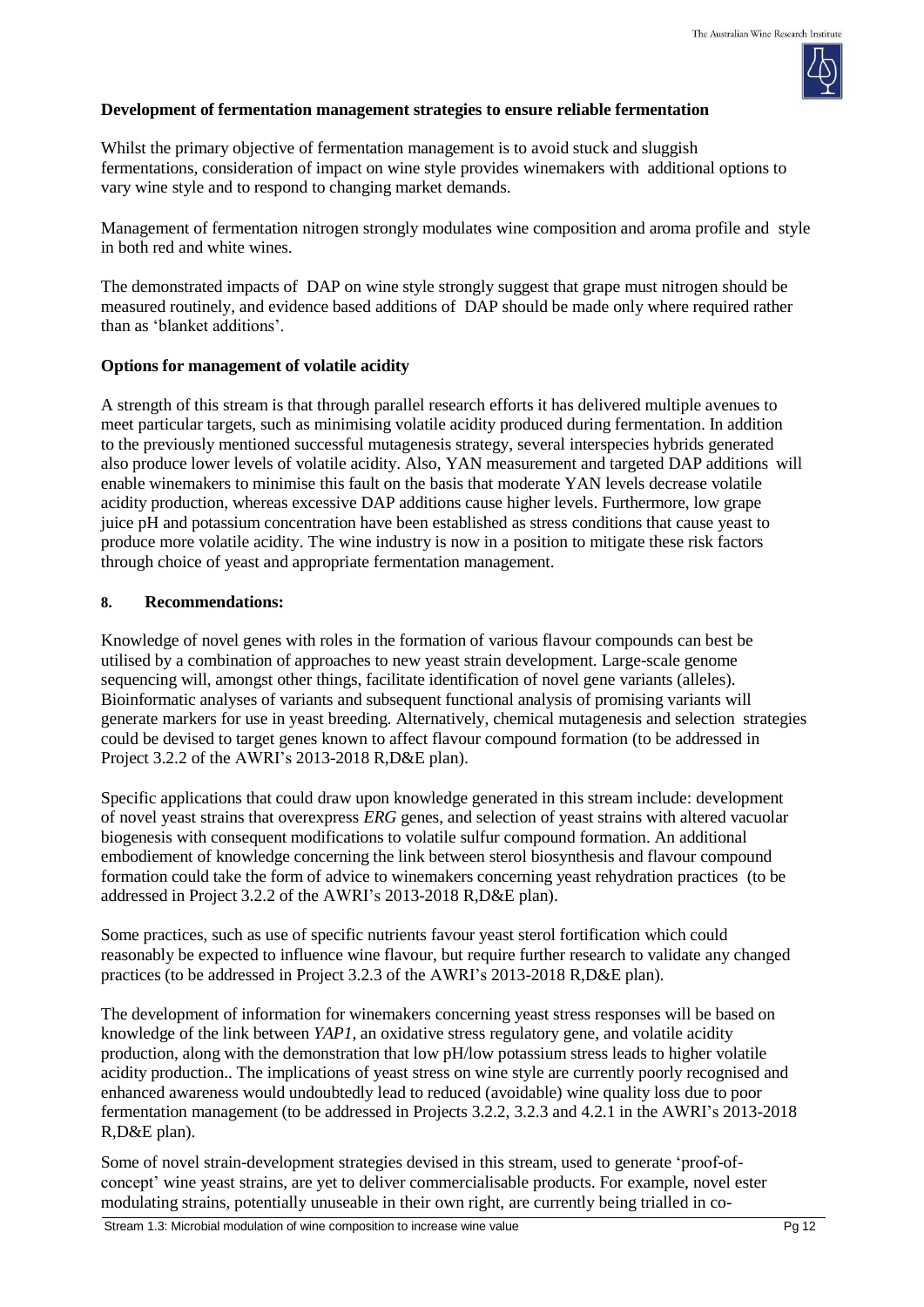# **Development of fermentation management strategies to ensure reliable fermentation**

Whilst the primary objective of fermentation management is to avoid stuck and sluggish fermentations, consideration of impact on wine style provides winemakers with additional options to vary wine style and to respond to changing market demands.

Management of fermentation nitrogen strongly modulates wine composition and aroma profile and style in both red and white wines.

The demonstrated impacts of DAP on wine style strongly suggest that grape must nitrogen should be measured routinely, and evidence based additions of DAP should be made only where required rather than as 'blanket additions'.

# **Options for management of volatile acidity**

A strength of this stream is that through parallel research efforts it has delivered multiple avenues to meet particular targets, such as minimising volatile acidity produced during fermentation. In addition to the previously mentioned successful mutagenesis strategy, several interspecies hybrids generated also produce lower levels of volatile acidity. Also, YAN measurement and targeted DAP additions will enable winemakers to minimise this fault on the basis that moderate YAN levels decrease volatile acidity production, whereas excessive DAP additions cause higher levels. Furthermore, low grape juice pH and potassium concentration have been established as stress conditions that cause yeast to produce more volatile acidity. The wine industry is now in a position to mitigate these risk factors through choice of yeast and appropriate fermentation management.

# **8. Recommendations:**

Knowledge of novel genes with roles in the formation of various flavour compounds can best be utilised by a combination of approaches to new yeast strain development. Large-scale genome sequencing will, amongst other things, facilitate identification of novel gene variants (alleles). Bioinformatic analyses of variants and subsequent functional analysis of promising variants will generate markers for use in yeast breeding. Alternatively, chemical mutagenesis and selection strategies could be devised to target genes known to affect flavour compound formation (to be addressed in Project 3.2.2 of the AWRI's 2013-2018 R,D&E plan).

Specific applications that could draw upon knowledge generated in this stream include: development of novel yeast strains that overexpress *ERG* genes, and selection of yeast strains with altered vacuolar biogenesis with consequent modifications to volatile sulfur compound formation. An additional embodiement of knowledge concerning the link between sterol biosynthesis and flavour compound formation could take the form of advice to winemakers concerning yeast rehydration practices (to be addressed in Project 3.2.2 of the AWRI's 2013-2018 R,D&E plan).

Some practices, such as use of specific nutrients favour yeast sterol fortification which could reasonably be expected to influence wine flavour, but require further research to validate any changed practices (to be addressed in Project 3.2.3 of the AWRI's 2013-2018 R,D&E plan).

The development of information for winemakers concerning yeast stress responses will be based on knowledge of the link between *YAP1*, an oxidative stress regulatory gene, and volatile acidity production, along with the demonstration that low pH/low potassium stress leads to higher volatile acidity production.. The implications of yeast stress on wine style are currently poorly recognised and enhanced awareness would undoubtedly lead to reduced (avoidable) wine quality loss due to poor fermentation management (to be addressed in Projects 3.2.2, 3.2.3 and 4.2.1 in the AWRI's 2013-2018 R,D&E plan).

Some of novel strain-development strategies devised in this stream, used to generate 'proof-ofconcept' wine yeast strains, are yet to deliver commercialisable products. For example, novel ester modulating strains, potentially unuseable in their own right, are currently being trialled in co-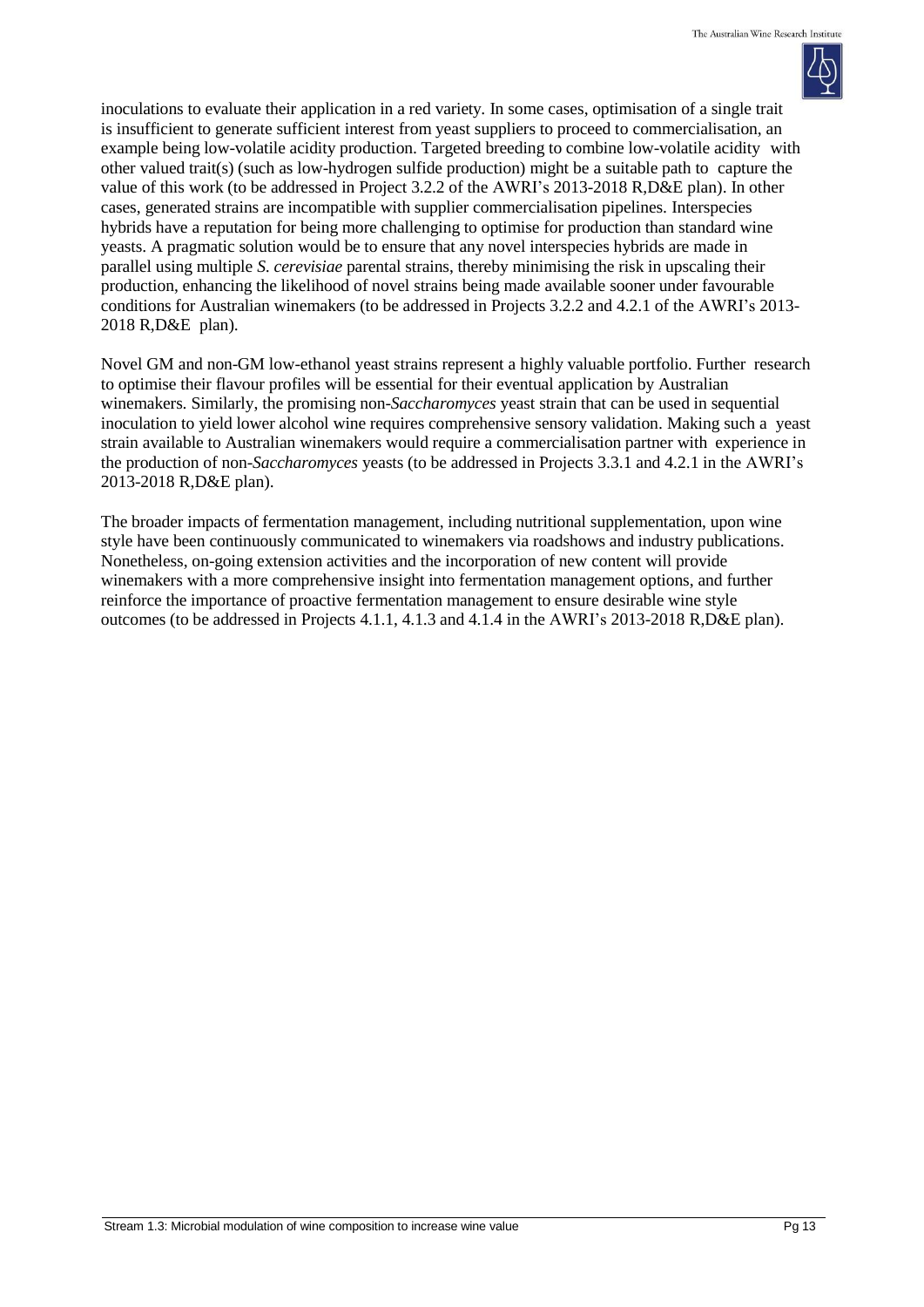

inoculations to evaluate their application in a red variety. In some cases, optimisation of a single trait is insufficient to generate sufficient interest from yeast suppliers to proceed to commercialisation, an example being low-volatile acidity production. Targeted breeding to combine low-volatile acidity with other valued trait(s) (such as low-hydrogen sulfide production) might be a suitable path to capture the value of this work (to be addressed in Project 3.2.2 of the AWRI's 2013-2018 R,D&E plan). In other cases, generated strains are incompatible with supplier commercialisation pipelines. Interspecies hybrids have a reputation for being more challenging to optimise for production than standard wine yeasts. A pragmatic solution would be to ensure that any novel interspecies hybrids are made in parallel using multiple *S. cerevisiae* parental strains, thereby minimising the risk in upscaling their production, enhancing the likelihood of novel strains being made available sooner under favourable conditions for Australian winemakers (to be addressed in Projects 3.2.2 and 4.2.1 of the AWRI's 2013- 2018 R,D&E plan).

Novel GM and non-GM low-ethanol yeast strains represent a highly valuable portfolio. Further research to optimise their flavour profiles will be essential for their eventual application by Australian winemakers. Similarly, the promising non-*Saccharomyces* yeast strain that can be used in sequential inoculation to yield lower alcohol wine requires comprehensive sensory validation. Making such a yeast strain available to Australian winemakers would require a commercialisation partner with experience in the production of non-*Saccharomyces* yeasts (to be addressed in Projects 3.3.1 and 4.2.1 in the AWRI's 2013-2018 R,D&E plan).

The broader impacts of fermentation management, including nutritional supplementation, upon wine style have been continuously communicated to winemakers via roadshows and industry publications. Nonetheless, on-going extension activities and the incorporation of new content will provide winemakers with a more comprehensive insight into fermentation management options, and further reinforce the importance of proactive fermentation management to ensure desirable wine style outcomes (to be addressed in Projects 4.1.1, 4.1.3 and 4.1.4 in the AWRI's 2013-2018 R,D&E plan).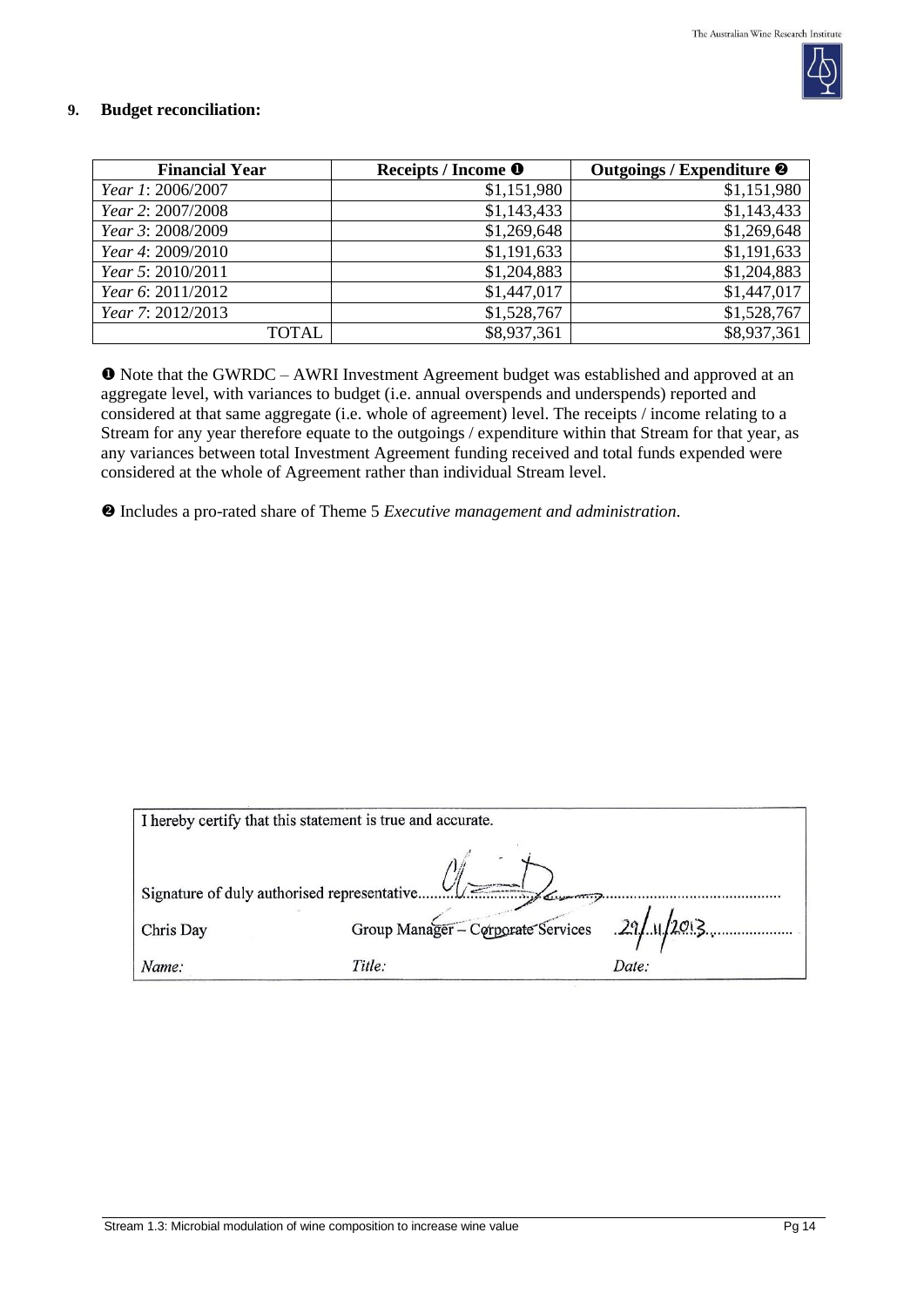

#### **9. Budget reconciliation:**

| <b>Financial Year</b> | Receipts / Income <sup>O</sup> | Outgoings / Expenditure <sup>@</sup> |
|-----------------------|--------------------------------|--------------------------------------|
| Year 1: 2006/2007     | \$1,151,980                    | \$1,151,980                          |
| Year 2: 2007/2008     | \$1,143,433                    | \$1,143,433                          |
| Year 3: 2008/2009     | \$1,269,648                    | \$1,269,648                          |
| Year 4: 2009/2010     | \$1,191,633                    | \$1,191,633                          |
| Year 5: 2010/2011     | \$1,204,883                    | \$1,204,883                          |
| Year 6: 2011/2012     | \$1,447,017                    | \$1,447,017                          |
| Year 7: 2012/2013     | \$1,528,767                    | \$1,528,767                          |
| <b>TOTAL</b>          | \$8,937,361                    | \$8,937,361                          |

 Note that the GWRDC – AWRI Investment Agreement budget was established and approved at an aggregate level, with variances to budget (i.e. annual overspends and underspends) reported and considered at that same aggregate (i.e. whole of agreement) level. The receipts / income relating to a Stream for any year therefore equate to the outgoings / expenditure within that Stream for that year, as any variances between total Investment Agreement funding received and total funds expended were considered at the whole of Agreement rather than individual Stream level.

Includes a pro-rated share of Theme 5 *Executive management and administration*.

|           | I hereby certify that this statement is true and accurate. |       |
|-----------|------------------------------------------------------------|-------|
|           | 1/2                                                        |       |
| Chris Day | Group Manager - Corporate Services 29/11/2013              |       |
| Name:     | Title:                                                     | Date: |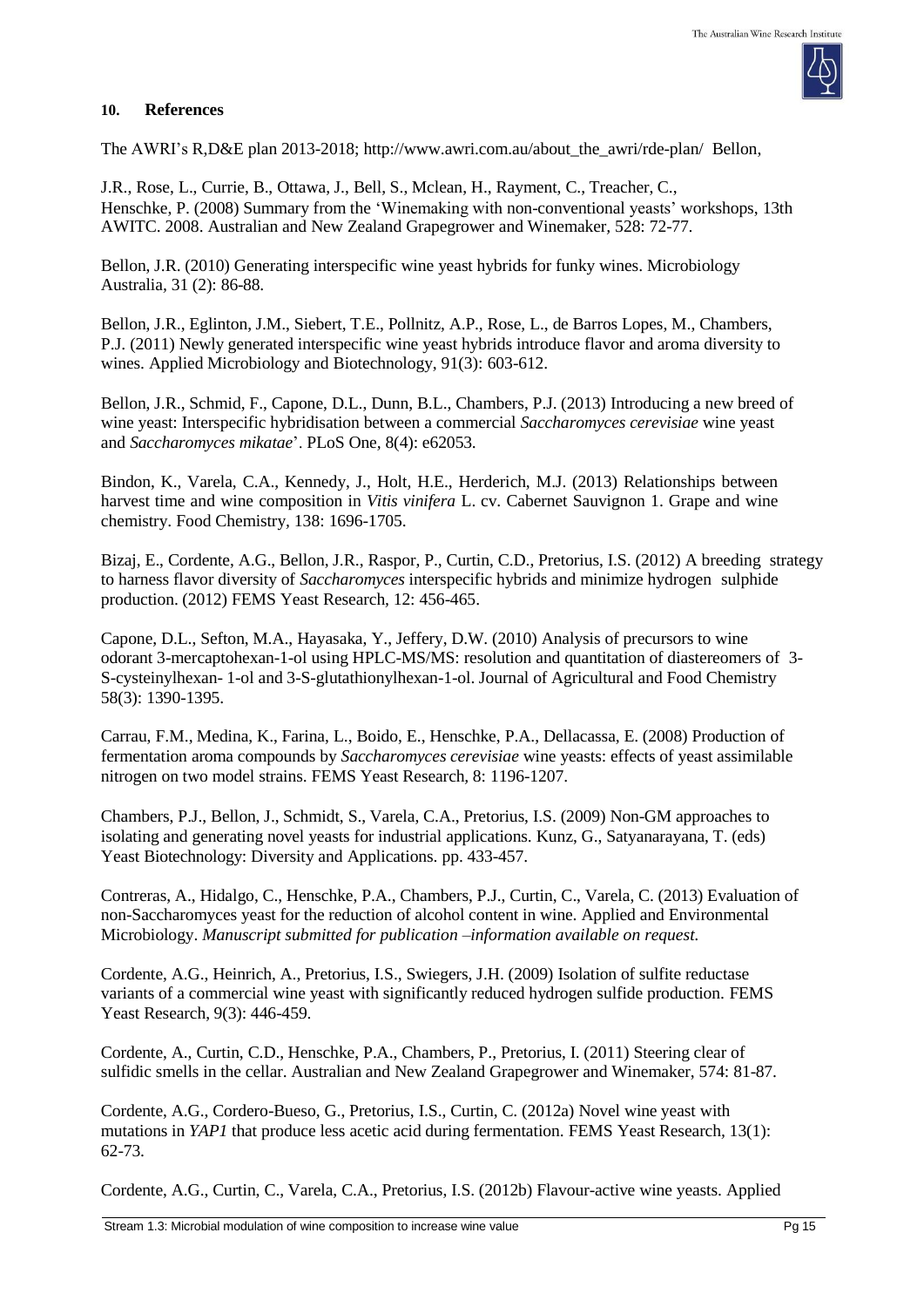#### **10. References**

The AWRI's R,D&E plan 2013-2018; [http://www.awri.com.au/about\\_the\\_awri/rde-plan/](http://www.awri.com.au/about_the_awri/rde-plan/) Bellon,

J.R., Rose, L., Currie, B., Ottawa, J., Bell, S., Mclean, H., Rayment, C., Treacher, C., Henschke, P. (2008) Summary from the 'Winemaking with non-conventional yeasts' workshops, 13th AWITC. 2008. Australian and New Zealand Grapegrower and Winemaker*,* 528: 72-77.

Bellon, J.R. (2010) Generating interspecific wine yeast hybrids for funky wines. Microbiology Australia*,* 31 (2): 86-88.

Bellon, J.R., Eglinton, J.M., Siebert, T.E., Pollnitz, A.P., Rose, L., de Barros Lopes, M., Chambers, P.J. (2011) Newly generated interspecific wine yeast hybrids introduce flavor and aroma diversity to wines. Applied Microbiology and Biotechnology, 91(3): 603-612.

Bellon, J.R., Schmid, F., Capone, D.L., Dunn, B.L., Chambers, P.J. (2013) Introducing a new breed of wine yeast: Interspecific hybridisation between a commercial *Saccharomyces cerevisiae* wine yeast and *Saccharomyces mikatae*'. PLoS One*,* 8(4): e62053.

Bindon, K., Varela, C.A., Kennedy, J., Holt, H.E., Herderich, M.J. (2013) Relationships between harvest time and wine composition in *Vitis vinifera* L. cv. Cabernet Sauvignon 1. Grape and wine chemistry. Food Chemistry*,* 138: 1696-1705.

Bizaj, E., Cordente, A.G., Bellon, J.R., Raspor, P., Curtin, C.D., Pretorius, I.S. (2012) A breeding strategy to harness flavor diversity of *Saccharomyces* interspecific hybrids and minimize hydrogen sulphide production. (2012) FEMS Yeast Research*,* 12: 456-465.

Capone, D.L., Sefton, M.A., Hayasaka, Y., Jeffery, D.W. (2010) Analysis of precursors to wine odorant 3-mercaptohexan-1-ol using HPLC-MS/MS: resolution and quantitation of diastereomers of 3- S-cysteinylhexan- 1-ol and 3-S-glutathionylhexan-1-ol. Journal of Agricultural and Food Chemistry 58(3): 1390-1395.

Carrau, F.M., Medina, K., Farina, L., Boido, E., Henschke, P.A., Dellacassa, E. (2008) Production of fermentation aroma compounds by *Saccharomyces cerevisiae* wine yeasts: effects of yeast assimilable nitrogen on two model strains. FEMS Yeast Research*,* 8: 1196-1207.

Chambers, P.J., Bellon, J., Schmidt, S., Varela, C.A., Pretorius, I.S. (2009) Non-GM approaches to isolating and generating novel yeasts for industrial applications. Kunz, G., Satyanarayana, T. (eds) Yeast Biotechnology: Diversity and Applications. pp. 433-457.

Contreras, A., Hidalgo, C., Henschke, P.A., Chambers, P.J., Curtin, C., Varela, C. (2013) Evaluation of non-Saccharomyces yeast for the reduction of alcohol content in wine. Applied and Environmental Microbiology. *Manuscript submitted for publication –information available on request.*

Cordente, A.G., Heinrich, A., Pretorius, I.S., Swiegers, J.H. (2009) Isolation of sulfite reductase variants of a commercial wine yeast with significantly reduced hydrogen sulfide production. FEMS Yeast Research, 9(3): 446-459.

Cordente, A., Curtin, C.D., Henschke, P.A., Chambers, P., Pretorius, I. (2011) Steering clear of sulfidic smells in the cellar. Australian and New Zealand Grapegrower and Winemaker, 574: 81-87.

Cordente, A.G., Cordero-Bueso, G., Pretorius, I.S., Curtin, C. (2012a) Novel wine yeast with mutations in *YAP1* that produce less acetic acid during fermentation. FEMS Yeast Research*,* 13(1): 62-73.

Cordente, A.G., Curtin, C., Varela, C.A., Pretorius, I.S. (2012b) Flavour-active wine yeasts. Applied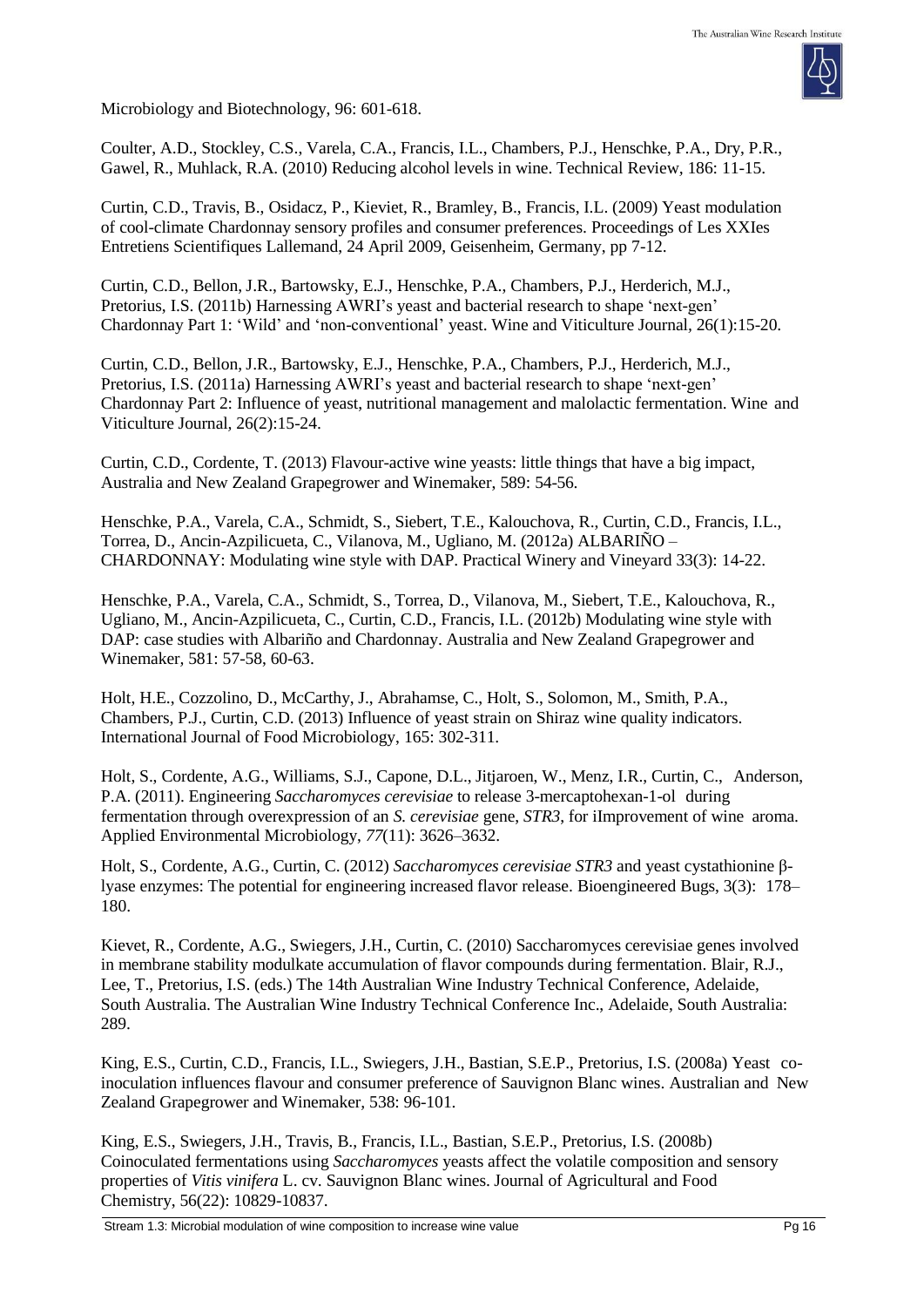

Microbiology and Biotechnology, 96: 601-618.

Coulter, A.D., Stockley, C.S., Varela, C.A., Francis, I.L., Chambers, P.J., Henschke, P.A., Dry, P.R., Gawel, R., Muhlack, R.A. (2010) Reducing alcohol levels in wine. Technical Review*,* 186: 11-15.

Curtin, C.D., Travis, B., Osidacz, P., Kieviet, R., Bramley, B., Francis, I.L. (2009) Yeast modulation of cool-climate Chardonnay sensory profiles and consumer preferences. Proceedings of Les XXIes Entretiens Scientifiques Lallemand, 24 April 2009, Geisenheim, Germany, pp 7-12.

Curtin, C.D., Bellon, J.R., Bartowsky, E.J., Henschke, P.A., Chambers, P.J., Herderich, M.J., Pretorius, I.S. (2011b) Harnessing AWRI's yeast and bacterial research to shape 'next-gen' Chardonnay Part 1: 'Wild' and 'non-conventional' yeast. Wine and Viticulture Journal*,* 26(1):15-20.

Curtin, C.D., Bellon, J.R., Bartowsky, E.J., Henschke, P.A., Chambers, P.J., Herderich, M.J., Pretorius, I.S. (2011a) Harnessing AWRI's yeast and bacterial research to shape 'next-gen' Chardonnay Part 2: Influence of yeast, nutritional management and malolactic fermentation. Wine and Viticulture Journal*,* 26(2):15-24.

Curtin, C.D., Cordente, T. (2013) Flavour-active wine yeasts: little things that have a big impact, Australia and New Zealand Grapegrower and Winemaker, 589: 54-56.

Henschke, P.A., Varela, C.A., Schmidt, S., Siebert, T.E., Kalouchova, R., Curtin, C.D., Francis, I.L., Torrea, D., Ancin-Azpilicueta, C., Vilanova, M., Ugliano, M. (2012a) ALBARIÑO – CHARDONNAY: Modulating wine style with DAP. Practical Winery and Vineyard 33(3): 14-22.

Henschke, P.A., Varela, C.A., Schmidt, S., Torrea, D., Vilanova, M., Siebert, T.E., Kalouchova, R., Ugliano, M., Ancin-Azpilicueta, C., Curtin, C.D., Francis, I.L. (2012b) Modulating wine style with DAP: case studies with Albariño and Chardonnay. Australia and New Zealand Grapegrower and Winemaker*,* 581: 57-58, 60-63.

Holt, H.E., Cozzolino, D., McCarthy, J., Abrahamse, C., Holt, S., Solomon, M., Smith, P.A., Chambers, P.J., Curtin, C.D. (2013) Influence of yeast strain on Shiraz wine quality indicators. International Journal of Food Microbiology, 165: 302-311.

Holt, S., Cordente, A.G., Williams, S.J., Capone, D.L., Jitjaroen, W., Menz, I.R., Curtin, C., Anderson, P.A. (2011). Engineering *Saccharomyces cerevisiae* to release 3-mercaptohexan-1-ol during fermentation through overexpression of an *S. cerevisiae* gene, *STR3*, for iImprovement of wine aroma. Applied Environmental Microbiology, *77*(11): 3626–3632.

Holt, S., Cordente, A.G., Curtin, C. (2012) *Saccharomyces cerevisiae STR3* and yeast cystathionine βlyase enzymes: The potential for engineering increased flavor release. Bioengineered Bugs, 3(3): 178– 180.

Kievet, R., Cordente, A.G., Swiegers, J.H., Curtin, C. (2010) Saccharomyces cerevisiae genes involved in membrane stability modulkate accumulation of flavor compounds during fermentation. Blair, R.J., Lee, T., Pretorius, I.S. (eds.) The 14th Australian Wine Industry Technical Conference, Adelaide, South Australia. The Australian Wine Industry Technical Conference Inc., Adelaide, South Australia: 289.

King, E.S., Curtin, C.D., Francis, I.L., Swiegers, J.H., Bastian, S.E.P., Pretorius, I.S. (2008a) Yeast coinoculation influences flavour and consumer preference of Sauvignon Blanc wines. Australian and New Zealand Grapegrower and Winemaker*,* 538: 96-101.

King, E.S., Swiegers, J.H., Travis, B., Francis, I.L., Bastian, S.E.P., Pretorius, I.S. (2008b) Coinoculated fermentations using *Saccharomyces* yeasts affect the volatile composition and sensory properties of *Vitis vinifera* L. cv. Sauvignon Blanc wines. Journal of Agricultural and Food Chemistry, 56(22): 10829-10837.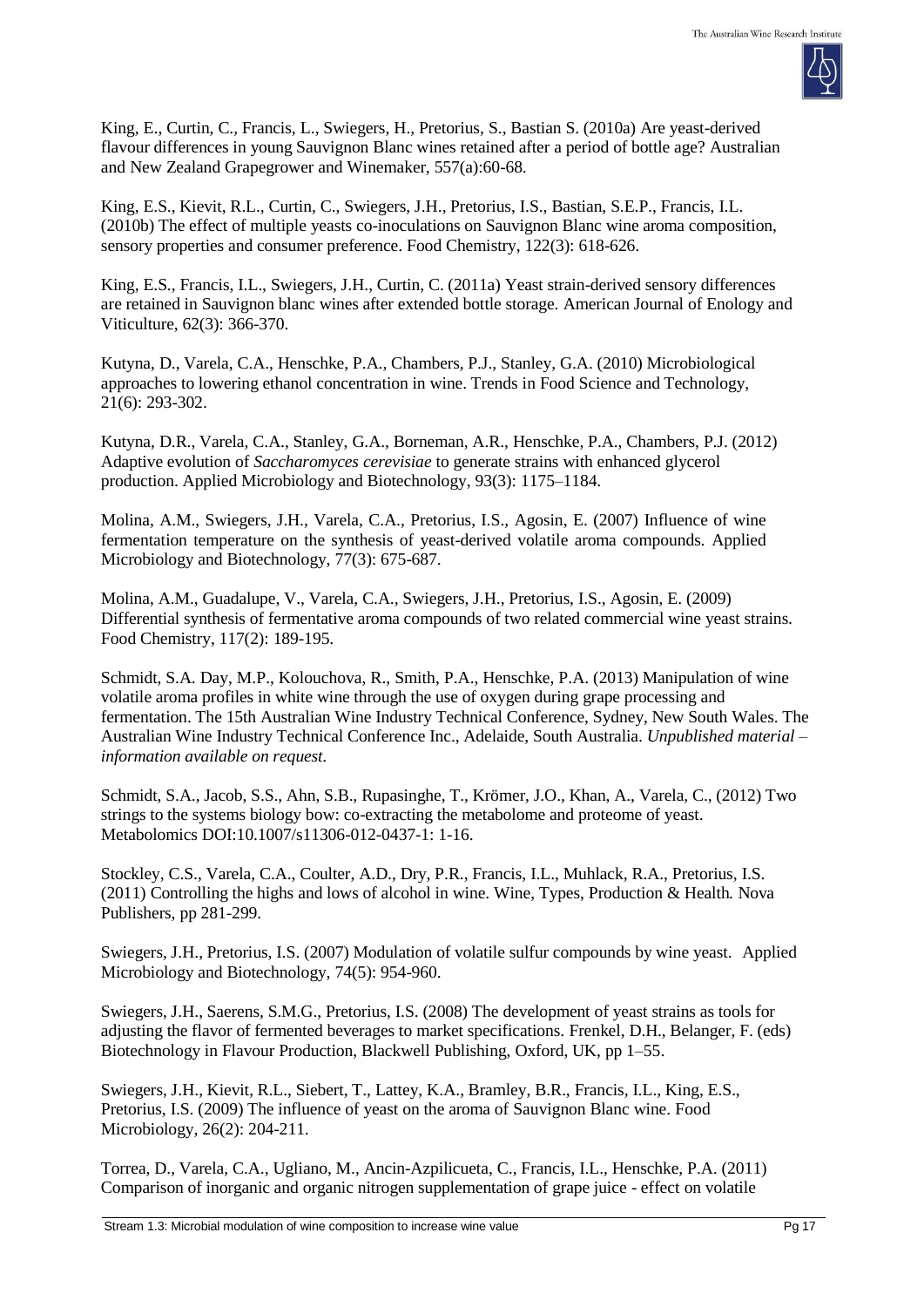

King, E., Curtin, C., Francis, L., Swiegers, H., Pretorius, S., Bastian S. (2010a) Are yeast-derived flavour differences in young Sauvignon Blanc wines retained after a period of bottle age? Australian and New Zealand Grapegrower and Winemaker*,* 557(a):60-68.

King, E.S., Kievit, R.L., Curtin, C., Swiegers, J.H., Pretorius, I.S., Bastian, S.E.P., Francis, I.L. (2010b) The effect of multiple yeasts co-inoculations on Sauvignon Blanc wine aroma composition, sensory properties and consumer preference. Food Chemistry, 122(3): 618-626.

King, E.S., Francis, I.L., Swiegers, J.H., Curtin, C. (2011a) Yeast strain-derived sensory differences are retained in Sauvignon blanc wines after extended bottle storage. American Journal of Enology and Viticulture, 62(3): 366-370.

Kutyna, D., Varela, C.A., Henschke, P.A., Chambers, P.J., Stanley, G.A. (2010) Microbiological approaches to lowering ethanol concentration in wine. Trends in Food Science and Technology, 21(6): 293-302.

Kutyna, D.R., Varela, C.A., Stanley, G.A., Borneman, A.R., Henschke, P.A., Chambers, P.J. (2012) Adaptive evolution of *Saccharomyces cerevisiae* to generate strains with enhanced glycerol production. Applied Microbiology and Biotechnology, 93(3): 1175–1184.

Molina, A.M., Swiegers, J.H., Varela, C.A., Pretorius, I.S., Agosin, E. (2007) Influence of wine fermentation temperature on the synthesis of yeast-derived volatile aroma compounds. Applied Microbiology and Biotechnology, 77(3): 675-687.

Molina, A.M., Guadalupe, V., Varela, C.A., Swiegers, J.H., Pretorius, I.S., Agosin, E. (2009) Differential synthesis of fermentative aroma compounds of two related commercial wine yeast strains. Food Chemistry, 117(2): 189-195.

Schmidt, S.A. Day, M.P., Kolouchova, R., Smith, P.A., Henschke, P.A. (2013) Manipulation of wine volatile aroma profiles in white wine through the use of oxygen during grape processing and fermentation. The 15th Australian Wine Industry Technical Conference, Sydney, New South Wales. The Australian Wine Industry Technical Conference Inc., Adelaide, South Australia. *Unpublished material – information available on request.*

Schmidt, S.A., Jacob, S.S., Ahn, S.B., Rupasinghe, T., Krömer, J.O., Khan, A., Varela, C., (2012) Two strings to the systems biology bow: co-extracting the metabolome and proteome of yeast. Metabolomics DOI:10.1007/s11306-012-0437-1: 1-16.

Stockley, C.S., Varela, C.A., Coulter, A.D., Dry, P.R., Francis, I.L., Muhlack, R.A., Pretorius, I.S. (2011) Controlling the highs and lows of alcohol in wine. Wine, Types, Production & Health*.* Nova Publishers, pp 281-299.

Swiegers, J.H., Pretorius, I.S. (2007) Modulation of volatile sulfur compounds by wine yeast. Applied Microbiology and Biotechnology, 74(5): 954-960.

Swiegers, J.H., Saerens, S.M.G., Pretorius, I.S. (2008) The development of yeast strains as tools for adjusting the flavor of fermented beverages to market specifications. Frenkel, D.H., Belanger, F. (eds) Biotechnology in Flavour Production, Blackwell Publishing, Oxford, UK, pp 1–55.

Swiegers, J.H., Kievit, R.L., Siebert, T., Lattey, K.A., Bramley, B.R., Francis, I.L., King, E.S., Pretorius, I.S. (2009) The influence of yeast on the aroma of Sauvignon Blanc wine. Food Microbiology, 26(2): 204-211.

Torrea, D., Varela, C.A., Ugliano, M., Ancin-Azpilicueta, C., Francis, I.L., Henschke, P.A. (2011) Comparison of inorganic and organic nitrogen supplementation of grape juice - effect on volatile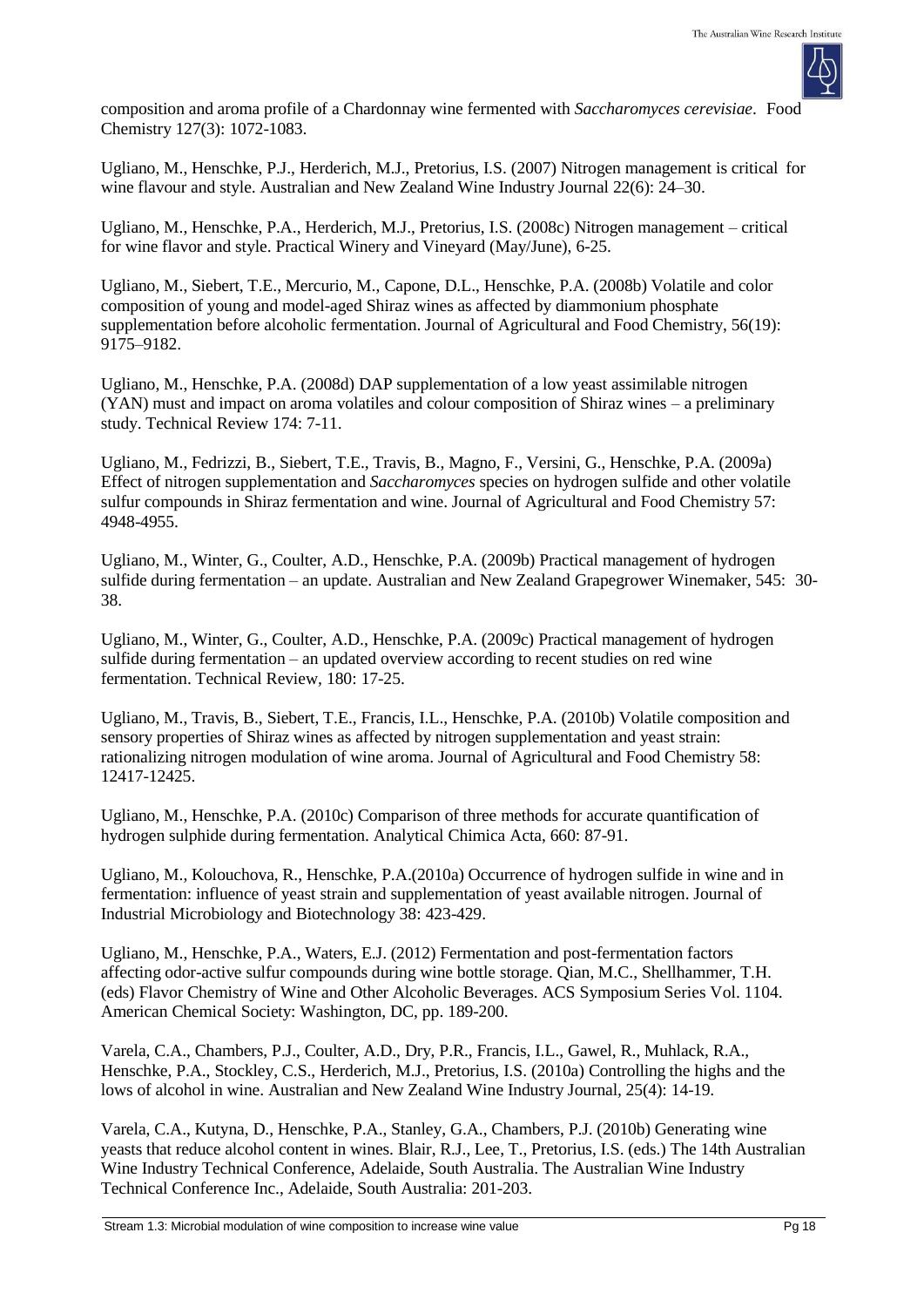

composition and aroma profile of a Chardonnay wine fermented with *Saccharomyces cerevisiae*. Food Chemistry 127(3): 1072-1083.

Ugliano, M., Henschke, P.J., Herderich, M.J., Pretorius, I.S. (2007) Nitrogen management is critical for wine flavour and style. Australian and New Zealand Wine Industry Journal 22(6): 24–30.

Ugliano, M., Henschke, P.A., Herderich, M.J., Pretorius, I.S. (2008c) Nitrogen management – critical for wine flavor and style. Practical Winery and Vineyard (May/June), 6-25.

Ugliano, M., Siebert, T.E., Mercurio, M., Capone, D.L., Henschke, P.A. (2008b) Volatile and color composition of young and model-aged Shiraz wines as affected by diammonium phosphate supplementation before alcoholic fermentation. Journal of Agricultural and Food Chemistry, 56(19): 9175–9182.

Ugliano, M., Henschke, P.A. (2008d) DAP supplementation of a low yeast assimilable nitrogen (YAN) must and impact on aroma volatiles and colour composition of Shiraz wines – a preliminary study. Technical Review 174: 7-11.

Ugliano, M., Fedrizzi, B., Siebert, T.E., Travis, B., Magno, F., Versini, G., Henschke, P.A. (2009a) Effect of nitrogen supplementation and *Saccharomyces* species on hydrogen sulfide and other volatile sulfur compounds in Shiraz fermentation and wine. Journal of Agricultural and Food Chemistry 57: 4948-4955.

Ugliano, M., Winter, G., Coulter, A.D., Henschke, P.A. (2009b) Practical management of hydrogen sulfide during fermentation – an update. Australian and New Zealand Grapegrower Winemaker*,* 545: 30- 38.

Ugliano, M., Winter, G., Coulter, A.D., Henschke, P.A. (2009c) Practical management of hydrogen sulfide during fermentation – an updated overview according to recent studies on red wine fermentation. Technical Review*,* 180: 17-25.

Ugliano, M., Travis, B., Siebert, T.E., Francis, I.L., Henschke, P.A. (2010b) Volatile composition and sensory properties of Shiraz wines as affected by nitrogen supplementation and yeast strain: rationalizing nitrogen modulation of wine aroma. Journal of Agricultural and Food Chemistry 58: 12417-12425.

Ugliano, M., Henschke, P.A. (2010c) Comparison of three methods for accurate quantification of hydrogen sulphide during fermentation. Analytical Chimica Acta, 660: 87-91.

Ugliano, M., Kolouchova, R., Henschke, P.A.(2010a) Occurrence of hydrogen sulfide in wine and in fermentation: influence of yeast strain and supplementation of yeast available nitrogen. Journal of Industrial Microbiology and Biotechnology 38: 423-429.

Ugliano, M., Henschke, P.A., Waters, E.J. (2012) Fermentation and post-fermentation factors affecting odor-active sulfur compounds during wine bottle storage. Qian, M.C., Shellhammer, T.H. (eds) Flavor Chemistry of Wine and Other Alcoholic Beverages. ACS Symposium Series Vol. 1104. American Chemical Society: Washington, DC, pp. 189-200.

Varela, C.A., Chambers, P.J., Coulter, A.D., Dry, P.R., Francis, I.L., Gawel, R., Muhlack, R.A., Henschke, P.A., Stockley, C.S., Herderich, M.J., Pretorius, I.S. (2010a) Controlling the highs and the lows of alcohol in wine. Australian and New Zealand Wine Industry Journal*,* 25(4): 14-19.

Varela, C.A., Kutyna, D., Henschke, P.A., Stanley, G.A., Chambers, P.J. (2010b) Generating wine yeasts that reduce alcohol content in wines. Blair, R.J., Lee, T., Pretorius, I.S. (eds.) The 14th Australian Wine Industry Technical Conference, Adelaide, South Australia. The Australian Wine Industry Technical Conference Inc., Adelaide, South Australia: 201-203.